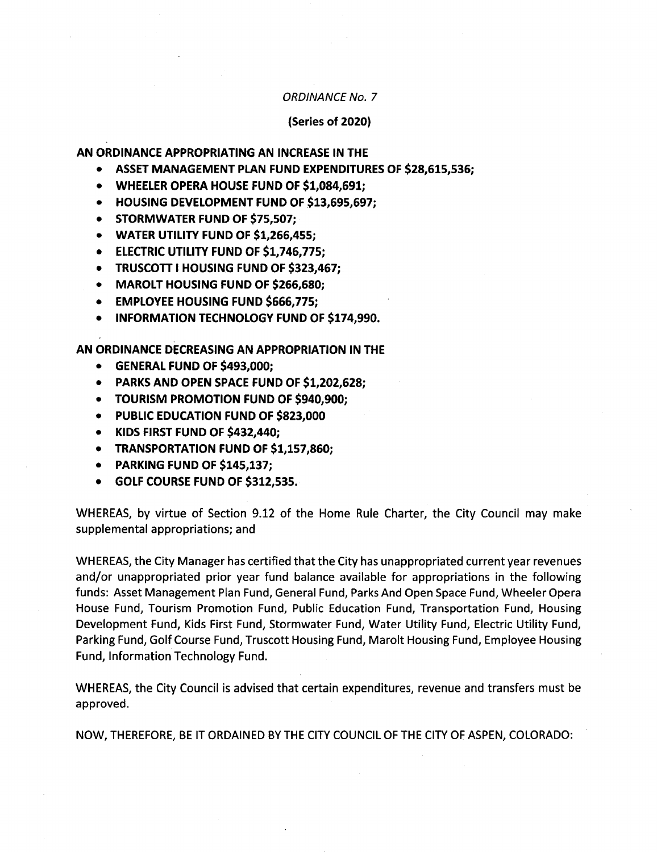### ORDINANCE No. 7

### (Series of 2020)

AN ORDINANCE APPROPRIATING AN INCREASE IN THE

- ASSET MANAGEMENT PLAN FUND EXPENDITURES OF \$28,615,536;
- WHEELER OPERA HOUSE FUND OF \$1,084,691;
- HOUSING DEVELOPMENT FUND OF \$13,695,697;
- STORMWATER FUND OF \$75,507:
- WATER UTILITY FUND OF \$1,266,455;
- **ELECTRIC UTILITY FUND OF \$1,746,775;**
- **TRUSCOTT I HOUSING FUND OF \$323,467;**
- MAROLT HOUSING FUND OF \$266, 680;
- EMPLOYEE HOUSING FUND \$666,775;
- INFORMATION TECHNOLOGY FUND OF \$174,990.  $\bullet$

AN ORDINANCE DECREASING AN APPROPRIATION IN THE

- GENERAL FUND OF \$493,000;
- PARKS AND OPEN SPACE FUND OF \$1,202,628;
- TOURISM PROMOTION FUND OF \$940,900;
- PUBLIC EDUCATION FUND OF \$823,000
- KIDS FIRST FUND OF \$432,440;
- TRANSPORTATION FUND OF \$1,157,860:
- PARKING FUND OF \$145,137;
- $\bullet$ GOLF COURSE FUND OF \$312,535.

WHEREAS, by virtue of Section 9.12 of the Home Rule Charter, the City Council may make supplemental appropriations; and

WHEREAS, the City Manager has certified that the City has unappropriated current year revenues and/or unappropriated prior year fund balance available for appropriations in the following funds: Asset Management Plan Fund, General Fund, Parks And Open Space Fund, Wheeler Opera House Fund, Tourism Promotion Fund, Public Education Fund, Transportation Fund, Housing Development Fund, Kids First Fund, Stormwater Fund, Water Utility Fund, Electric Utility Fund, Parking Fund, Golf Course Fund, Truscott Housing Fund, Marolt Housing Fund, Employee Housing Fund, Information Technology Fund.

WHEREAS, the City Council is advised that certain expenditures, revenue and transfers must be approved.

NOW, THEREFORE, BE IT ORDAINED BY THE CITY COUNCIL OF THE CITY OF ASPEN, COLORADO: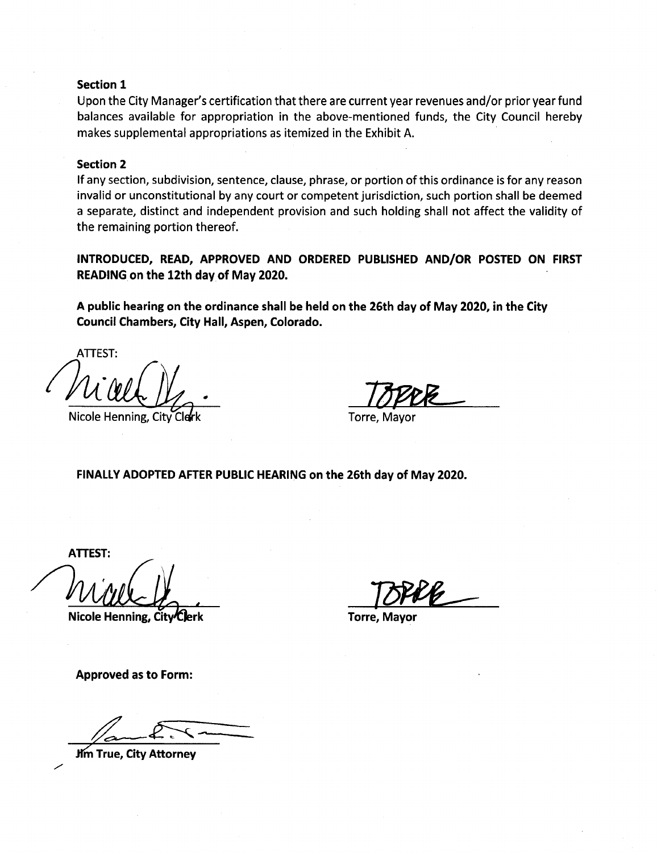### Section 1

Upon the City Manager's certification that there are current year revenues and/or prior year fund balances available for appropriation in the above-mentioned funds, the City Council hereby makes supplemental appropriations as itemized in the Exhibit A.

### Section 2

If any section, subdivision, sentence, clause, phrase, or portion of this ordinance is for any reason invalid or unconstitutional by any court or competent jurisdiction, such portion shall be deemed <sup>a</sup> separate, distinct and independent provision and such holding shall not affect the validity of the remaining portion thereof.

INTRODUCED, READ, APPROVED AND ORDERED PUBLISHED AND/OR POSTED ON FIRST READING on the 12th day of May 2020.

A public hearing on the ordinance shall be held on the 26th day of May 2020, in the City Council Chambers, City Hall, Aspen, Colorado.

ATTEST:  $u.$  W  $\frac{1}{2}$  . TOPPE

Nicole Henning, City Clerk Torre, Mayor

FINALLY ADOPTED AFTER PUBLIC HEARING on the 26th day of May 2020.

ATTEST:

i

Nicole Henning, City Clerk Torre, Mayor

Approved as to Form:

**Jim True, City Attorney**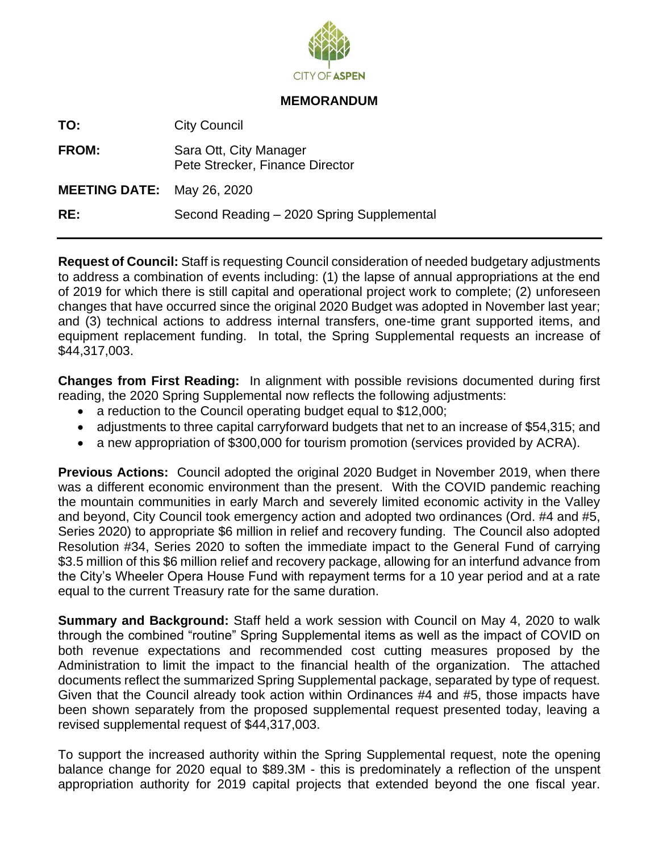

### **MEMORANDUM**

**TO:** City Council

**FROM:** Sara Ott, City Manager Pete Strecker, Finance Director

**MEETING DATE:** May 26, 2020

**RE:** Second Reading – 2020 Spring Supplemental

**Request of Council:** Staff is requesting Council consideration of needed budgetary adjustments to address a combination of events including: (1) the lapse of annual appropriations at the end of 2019 for which there is still capital and operational project work to complete; (2) unforeseen changes that have occurred since the original 2020 Budget was adopted in November last year; and (3) technical actions to address internal transfers, one-time grant supported items, and equipment replacement funding. In total, the Spring Supplemental requests an increase of \$44,317,003.

**Changes from First Reading:** In alignment with possible revisions documented during first reading, the 2020 Spring Supplemental now reflects the following adjustments:

- a reduction to the Council operating budget equal to \$12,000;
- adjustments to three capital carryforward budgets that net to an increase of \$54,315; and
- a new appropriation of \$300,000 for tourism promotion (services provided by ACRA).

**Previous Actions:** Council adopted the original 2020 Budget in November 2019, when there was a different economic environment than the present. With the COVID pandemic reaching the mountain communities in early March and severely limited economic activity in the Valley and beyond, City Council took emergency action and adopted two ordinances (Ord. #4 and #5, Series 2020) to appropriate \$6 million in relief and recovery funding. The Council also adopted Resolution #34, Series 2020 to soften the immediate impact to the General Fund of carrying \$3.5 million of this \$6 million relief and recovery package, allowing for an interfund advance from the City's Wheeler Opera House Fund with repayment terms for a 10 year period and at a rate equal to the current Treasury rate for the same duration.

**Summary and Background:** Staff held a work session with Council on May 4, 2020 to walk through the combined "routine" Spring Supplemental items as well as the impact of COVID on both revenue expectations and recommended cost cutting measures proposed by the Administration to limit the impact to the financial health of the organization. The attached documents reflect the summarized Spring Supplemental package, separated by type of request. Given that the Council already took action within Ordinances #4 and #5, those impacts have been shown separately from the proposed supplemental request presented today, leaving a revised supplemental request of \$44,317,003.

To support the increased authority within the Spring Supplemental request, note the opening balance change for 2020 equal to \$89.3M - this is predominately a reflection of the unspent appropriation authority for 2019 capital projects that extended beyond the one fiscal year.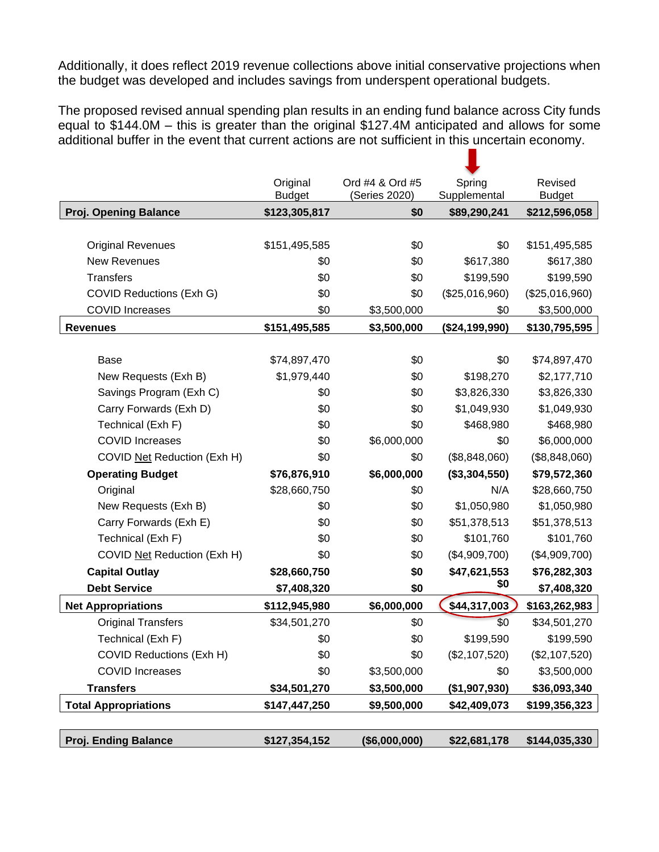Additionally, it does reflect 2019 revenue collections above initial conservative projections when the budget was developed and includes savings from underspent operational budgets.

The proposed revised annual spending plan results in an ending fund balance across City funds equal to \$144.0M – this is greater than the original \$127.4M anticipated and allows for some additional buffer in the event that current actions are not sufficient in this uncertain economy.

п

|                                 | Original<br><b>Budget</b> | Ord #4 & Ord #5<br>(Series 2020) | Spring<br>Supplemental | Revised<br><b>Budget</b> |
|---------------------------------|---------------------------|----------------------------------|------------------------|--------------------------|
| <b>Proj. Opening Balance</b>    | \$123,305,817             | \$0                              | \$89,290,241           | \$212,596,058            |
|                                 |                           |                                  |                        |                          |
| <b>Original Revenues</b>        | \$151,495,585             | \$0                              | \$0                    | \$151,495,585            |
| <b>New Revenues</b>             | \$0                       | \$0                              | \$617,380              | \$617,380                |
| <b>Transfers</b>                | \$0                       | \$0                              | \$199,590              | \$199,590                |
| <b>COVID Reductions (Exh G)</b> | \$0                       | \$0                              | (\$25,016,960)         | (\$25,016,960)           |
| <b>COVID Increases</b>          | \$0                       | \$3,500,000                      | \$0                    | \$3,500,000              |
| <b>Revenues</b>                 | \$151,495,585             | \$3,500,000                      | (\$24,199,990)         | \$130,795,595            |
|                                 |                           |                                  |                        |                          |
| Base                            | \$74,897,470              | \$0                              | \$0                    | \$74,897,470             |
| New Requests (Exh B)            | \$1,979,440               | \$0                              | \$198,270              | \$2,177,710              |
| Savings Program (Exh C)         | \$0                       | \$0                              | \$3,826,330            | \$3,826,330              |
| Carry Forwards (Exh D)          | \$0                       | \$0                              | \$1,049,930            | \$1,049,930              |
| Technical (Exh F)               | \$0                       | \$0                              | \$468,980              | \$468,980                |
| <b>COVID Increases</b>          | \$0                       | \$6,000,000                      | \$0                    | \$6,000,000              |
| COVID Net Reduction (Exh H)     | \$0                       | \$0                              | (\$8,848,060)          | (\$8,848,060)            |
| <b>Operating Budget</b>         | \$76,876,910              | \$6,000,000                      | (\$3,304,550)          | \$79,572,360             |
| Original                        | \$28,660,750              | \$0                              | N/A                    | \$28,660,750             |
| New Requests (Exh B)            | \$0                       | \$0                              | \$1,050,980            | \$1,050,980              |
| Carry Forwards (Exh E)          | \$0                       | \$0                              | \$51,378,513           | \$51,378,513             |
| Technical (Exh F)               | \$0                       | \$0                              | \$101,760              | \$101,760                |
| COVID Net Reduction (Exh H)     | \$0                       | \$0                              | (\$4,909,700)          | (\$4,909,700)            |
| <b>Capital Outlay</b>           | \$28,660,750              | \$0                              | \$47,621,553           | \$76,282,303             |
| <b>Debt Service</b>             | \$7,408,320               | \$0                              | \$0                    | \$7,408,320              |
| <b>Net Appropriations</b>       | \$112,945,980             | \$6,000,000                      | \$44,317,003           | \$163,262,983            |
| <b>Original Transfers</b>       | \$34,501,270              | \$0                              | \$0                    | \$34,501,270             |
| Technical (Exh F)               | \$0                       | \$0                              | \$199,590              | \$199,590                |
| <b>COVID Reductions (Exh H)</b> | \$0                       | \$0                              | (\$2,107,520)          | (\$2,107,520)            |
| <b>COVID Increases</b>          | \$0                       | \$3,500,000                      | \$0                    | \$3,500,000              |
| <b>Transfers</b>                | \$34,501,270              | \$3,500,000                      | (\$1,907,930)          | \$36,093,340             |
| <b>Total Appropriations</b>     | \$147,447,250             | \$9,500,000                      | \$42,409,073           | \$199,356,323            |
|                                 |                           |                                  |                        |                          |
| <b>Proj. Ending Balance</b>     | \$127,354,152             | (\$6,000,000)                    | \$22,681,178           | \$144,035,330            |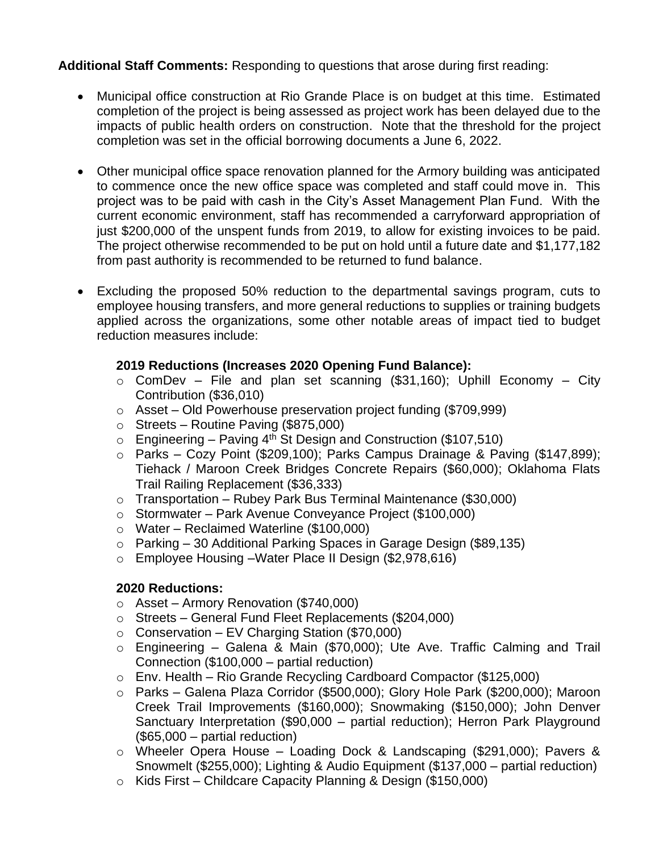**Additional Staff Comments:** Responding to questions that arose during first reading:

- Municipal office construction at Rio Grande Place is on budget at this time. Estimated completion of the project is being assessed as project work has been delayed due to the impacts of public health orders on construction. Note that the threshold for the project completion was set in the official borrowing documents a June 6, 2022.
- Other municipal office space renovation planned for the Armory building was anticipated to commence once the new office space was completed and staff could move in. This project was to be paid with cash in the City's Asset Management Plan Fund. With the current economic environment, staff has recommended a carryforward appropriation of just \$200,000 of the unspent funds from 2019, to allow for existing invoices to be paid. The project otherwise recommended to be put on hold until a future date and \$1,177,182 from past authority is recommended to be returned to fund balance.
- Excluding the proposed 50% reduction to the departmental savings program, cuts to employee housing transfers, and more general reductions to supplies or training budgets applied across the organizations, some other notable areas of impact tied to budget reduction measures include:

### **2019 Reductions (Increases 2020 Opening Fund Balance):**

- $\circ$  ComDev File and plan set scanning (\$31,160); Uphill Economy City Contribution (\$36,010)
- o Asset Old Powerhouse preservation project funding (\$709,999)
- $\circ$  Streets Routine Paving (\$875,000)
- $\circ$  Engineering Paving 4<sup>th</sup> St Design and Construction (\$107,510)
- o Parks Cozy Point (\$209,100); Parks Campus Drainage & Paving (\$147,899); Tiehack / Maroon Creek Bridges Concrete Repairs (\$60,000); Oklahoma Flats Trail Railing Replacement (\$36,333)
- $\circ$  Transportation Rubey Park Bus Terminal Maintenance (\$30,000)
- o Stormwater Park Avenue Conveyance Project (\$100,000)
- o Water Reclaimed Waterline (\$100,000)
- o Parking 30 Additional Parking Spaces in Garage Design (\$89,135)
- o Employee Housing –Water Place II Design (\$2,978,616)

### **2020 Reductions:**

- o Asset Armory Renovation (\$740,000)
- o Streets General Fund Fleet Replacements (\$204,000)
- $\circ$  Conservation EV Charging Station (\$70,000)
- o Engineering Galena & Main (\$70,000); Ute Ave. Traffic Calming and Trail Connection (\$100,000 – partial reduction)
- o Env. Health Rio Grande Recycling Cardboard Compactor (\$125,000)
- o Parks Galena Plaza Corridor (\$500,000); Glory Hole Park (\$200,000); Maroon Creek Trail Improvements (\$160,000); Snowmaking (\$150,000); John Denver Sanctuary Interpretation (\$90,000 – partial reduction); Herron Park Playground (\$65,000 – partial reduction)
- o Wheeler Opera House Loading Dock & Landscaping (\$291,000); Pavers & Snowmelt (\$255,000); Lighting & Audio Equipment (\$137,000 – partial reduction)
- o Kids First Childcare Capacity Planning & Design (\$150,000)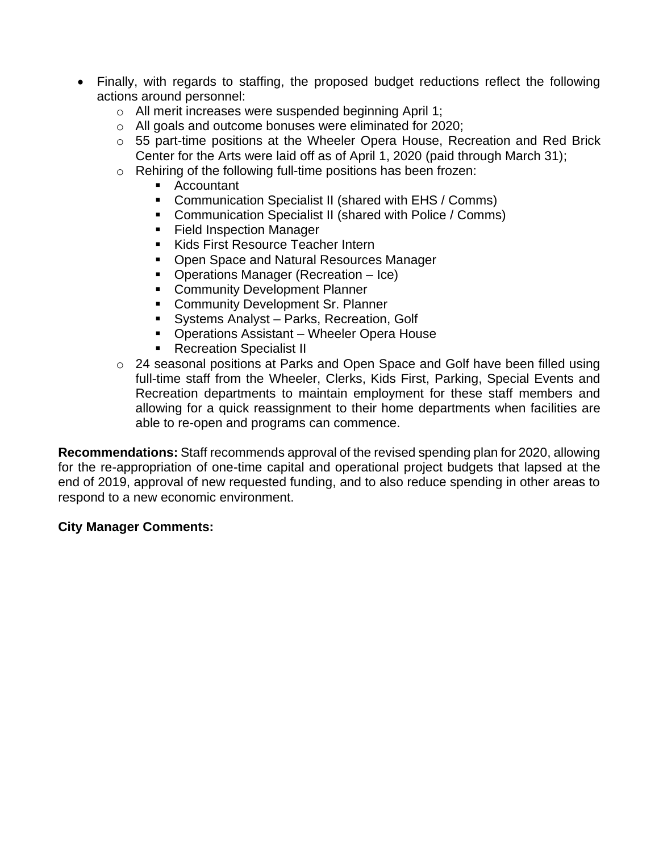- Finally, with regards to staffing, the proposed budget reductions reflect the following actions around personnel:
	- o All merit increases were suspended beginning April 1;
	- o All goals and outcome bonuses were eliminated for 2020;
	- o 55 part-time positions at the Wheeler Opera House, Recreation and Red Brick Center for the Arts were laid off as of April 1, 2020 (paid through March 31);
	- o Rehiring of the following full-time positions has been frozen:
		- Accountant
		- Communication Specialist II (shared with EHS / Comms)
		- Communication Specialist II (shared with Police / Comms)
		- Field Inspection Manager
		- Kids First Resource Teacher Intern
		- Open Space and Natural Resources Manager
		- Operations Manager (Recreation Ice)
		- **EXECOMMUNITY Development Planner**
		- **E** Community Development Sr. Planner
		- **EXEC** Systems Analyst Parks, Recreation, Golf
		- Operations Assistant Wheeler Opera House
		- Recreation Specialist II
	- o 24 seasonal positions at Parks and Open Space and Golf have been filled using full-time staff from the Wheeler, Clerks, Kids First, Parking, Special Events and Recreation departments to maintain employment for these staff members and allowing for a quick reassignment to their home departments when facilities are able to re-open and programs can commence.

**Recommendations:** Staff recommends approval of the revised spending plan for 2020, allowing for the re-appropriation of one-time capital and operational project budgets that lapsed at the end of 2019, approval of new requested funding, and to also reduce spending in other areas to respond to a new economic environment.

### **City Manager Comments:**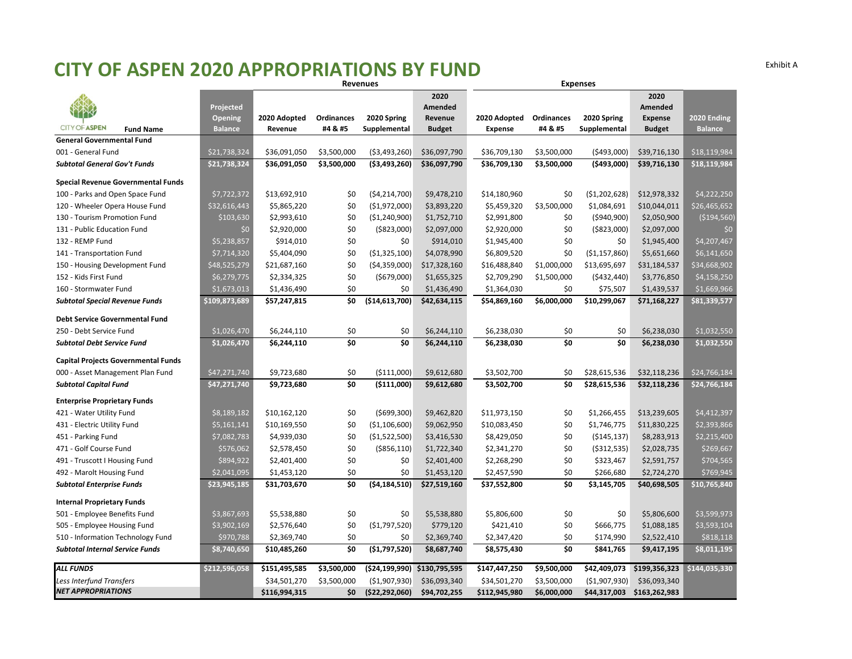### **CITY OF ASPEN 2020 APPROPRIATIONS BY FUND** Exhibit <sup>A</sup>

|                                                      |                |               |                                   | <b>Revenues</b> |               |                |             | <b>Expenses</b>                   |                |                |
|------------------------------------------------------|----------------|---------------|-----------------------------------|-----------------|---------------|----------------|-------------|-----------------------------------|----------------|----------------|
|                                                      |                |               |                                   |                 | 2020          |                |             |                                   | 2020           |                |
|                                                      | Projected      |               |                                   |                 | Amended       |                |             |                                   | Amended        |                |
| <b>CITY OF ASPEN</b>                                 | <b>Opening</b> | 2020 Adopted  | Ordinances                        | 2020 Spring     | Revenue       | 2020 Adopted   | Ordinances  | 2020 Spring                       | <b>Expense</b> | 2020 Ending    |
| <b>Fund Name</b><br><b>General Governmental Fund</b> | <b>Balance</b> | Revenue       | #4 & #5                           | Supplemental    | <b>Budget</b> | <b>Expense</b> | #4 & #5     | Supplemental                      | <b>Budget</b>  | <b>Balance</b> |
| 001 - General Fund                                   | \$21,738,324   | \$36,091,050  | \$3,500,000                       | ( \$3,493,260)  | \$36,097,790  | \$36,709,130   | \$3,500,000 | (5493,000)                        | \$39,716,130   | \$18,119,984   |
| <b>Subtotal General Gov't Funds</b>                  | \$21,738,324   | \$36,091,050  | \$3,500,000                       | ( \$3,493,260)  | \$36,097,790  | \$36,709,130   | \$3,500,000 | ( \$493,000]                      | \$39,716,130   | \$18,119,984   |
|                                                      |                |               |                                   |                 |               |                |             |                                   |                |                |
| Special Revenue Governmental Funds                   |                |               |                                   |                 |               |                |             |                                   |                |                |
| 100 - Parks and Open Space Fund                      | \$7,722,372    | \$13,692,910  | \$0                               | (54, 214, 700)  | \$9,478,210   | \$14,180,960   | \$0         | (51, 202, 628)                    | \$12,978,332   | \$4,222,250    |
| 120 - Wheeler Opera House Fund                       | \$32,616,443   | \$5,865,220   | \$0                               | ( \$1,972,000)  | \$3,893,220   | \$5,459,320    | \$3,500,000 | \$1,084,691                       | \$10,044,011   | \$26,465,652   |
| 130 - Tourism Promotion Fund                         | \$103,630      | \$2,993,610   | \$0                               | (\$1,240,900)   | \$1,752,710   | \$2,991,800    | \$0         | ( \$940, 900)                     | \$2,050,900    | ( \$194, 560)  |
| 131 - Public Education Fund                          | \$0            | \$2,920,000   | \$0                               | ( \$823,000)    | \$2,097,000   | \$2,920,000    | \$0         | ( \$823,000)                      | \$2,097,000    | \$0            |
| 132 - REMP Fund                                      | \$5,238,857    | \$914,010     | \$0                               | \$0             | \$914,010     | \$1,945,400    | \$0         | \$0                               | \$1,945,400    | \$4,207,467    |
| 141 - Transportation Fund                            | \$7,714,320    | \$5,404,090   | \$0                               | ( \$1,325,100)  | \$4,078,990   | \$6,809,520    | \$0         | ( \$1,157,860)                    | \$5,651,660    | \$6,141,650    |
| 150 - Housing Development Fund                       | \$48,525,279   | \$21,687,160  | \$0                               | ( \$4,359,000)  | \$17,328,160  | \$16,488,840   | \$1,000,000 | \$13,695,697                      | \$31,184,537   | \$34,668,902   |
| 152 - Kids First Fund                                | \$6,279,775    | \$2,334,325   | \$0                               | ( \$679,000]    | \$1,655,325   | \$2,709,290    | \$1,500,000 | (5432, 440)                       | \$3,776,850    | \$4,158,250    |
| 160 - Stormwater Fund                                | \$1,673,013    | \$1,436,490   | \$0                               | \$0             | \$1,436,490   | \$1,364,030    | \$0         | \$75,507                          | \$1,439,537    | \$1,669,966    |
| <b>Subtotal Special Revenue Funds</b>                | \$109,873,689  | \$57,247,815  | \$0                               | ( \$14,613,700) | \$42,634,115  | \$54,869,160   | \$6,000,000 | \$10,299,067                      | \$71,168,227   | \$81,339,577   |
| <b>Debt Service Governmental Fund</b>                |                |               |                                   |                 |               |                |             |                                   |                |                |
| 250 - Debt Service Fund                              | \$1,026,470    | \$6,244,110   | \$0                               | \$0             | \$6,244,110   | \$6,238,030    | \$0         | \$0                               | \$6,238,030    | \$1,032,550    |
| <b>Subtotal Debt Service Fund</b>                    | \$1,026,470    | \$6,244,110   | $\overline{\boldsymbol{\zeta_0}}$ | \$0             | \$6,244,110   | \$6,238,030    | \$0         | $\overline{\boldsymbol{\zeta_0}}$ | \$6,238,030    | \$1,032,550    |
| <b>Capital Projects Governmental Funds</b>           |                |               |                                   |                 |               |                |             |                                   |                |                |
| 000 - Asset Management Plan Fund                     | \$47,271,740   | \$9,723,680   | \$0                               | ( \$111,000)    | \$9,612,680   | \$3,502,700    | \$0         | \$28,615,536                      | \$32,118,236   | \$24,766,184   |
| <b>Subtotal Capital Fund</b>                         | \$47,271,740   | \$9,723,680   | \$0                               | ( \$111,000)    | \$9,612,680   | \$3,502,700    | \$0         | \$28,615,536                      | \$32,118,236   | \$24,766,184   |
| <b>Enterprise Proprietary Funds</b>                  |                |               |                                   |                 |               |                |             |                                   |                |                |
| 421 - Water Utility Fund                             | \$8,189,182    | \$10,162,120  | \$0                               | ( \$699, 300)   | \$9,462,820   | \$11,973,150   | \$0         | \$1,266,455                       | \$13,239,605   | \$4,412,397    |
| 431 - Electric Utility Fund                          | \$5,161,141    | \$10,169,550  | \$0                               | (\$1,106,600)   | \$9,062,950   | \$10,083,450   | \$0         | \$1,746,775                       | \$11,830,225   | \$2,393,866    |
| 451 - Parking Fund                                   | \$7,082,783    | \$4,939,030   | \$0                               | ( \$1,522,500)  | \$3,416,530   | \$8,429,050    | \$0         | ( \$145, 137)                     | \$8,283,913    | \$2,215,400    |
| 471 - Golf Course Fund                               | \$576,062      | \$2,578,450   | \$0                               | ( \$856, 110)   | \$1,722,340   | \$2,341,270    | \$0         | ( \$312, 535)                     | \$2,028,735    | \$269,667      |
| 491 - Truscott I Housing Fund                        | \$894,922      | \$2,401,400   | \$0                               | \$0             | \$2,401,400   | \$2,268,290    | \$0         | \$323,467                         | \$2,591,757    | \$704,565      |
| 492 - Marolt Housing Fund                            | \$2,041,095    | \$1,453,120   | \$0                               | \$0             | \$1,453,120   | \$2,457,590    | \$0         | \$266,680                         | \$2,724,270    | \$769,945      |
| <b>Subtotal Enterprise Funds</b>                     | \$23,945,185   | \$31,703,670  | \$0                               | ( \$4,184,510)  | \$27,519,160  | \$37,552,800   | \$0         | \$3,145,705                       | \$40,698,505   | \$10,765,840   |
| <b>Internal Proprietary Funds</b>                    |                |               |                                   |                 |               |                |             |                                   |                |                |
| 501 - Employee Benefits Fund                         | \$3,867,693    | \$5,538,880   | \$0                               | \$0             | \$5,538,880   | \$5,806,600    | \$0         | \$0                               | \$5,806,600    | \$3,599,973    |
| 505 - Employee Housing Fund                          | \$3,902,169    | \$2,576,640   | \$0                               | ( \$1,797,520)  | \$779,120     | \$421,410      | \$0         | \$666,775                         | \$1,088,185    | \$3,593,104    |
| 510 - Information Technology Fund                    | \$970,788      | \$2,369,740   | \$0                               | \$0             | \$2,369,740   | \$2,347,420    | \$0         | \$174,990                         | \$2,522,410    | \$818,118      |
| <b>Subtotal Internal Service Funds</b>               | \$8,740,650    | \$10,485,260  | \$0                               | (\$1,797,520)   | \$8,687,740   | \$8,575,430    | \$0         | \$841,765                         | \$9,417,195    | \$8,011,195    |
| <b>ALL FUNDS</b>                                     | \$212,596,058  | \$151,495,585 | \$3,500,000                       | (\$24,199,990)  | \$130,795,595 | \$147,447,250  | \$9,500,000 | \$42,409,073                      | \$199,356,323  | \$144,035,330  |
| <b>Less Interfund Transfers</b>                      |                | \$34,501,270  | \$3,500,000                       | ( \$1,907,930)  | \$36,093,340  | \$34,501,270   | \$3,500,000 | ( \$1,907,930)                    | \$36,093,340   |                |
| <b>NET APPROPRIATIONS</b>                            |                | \$116,994,315 | \$0                               | (\$22,292,060)  | \$94,702,255  | \$112,945,980  | \$6,000,000 | \$44,317,003                      | \$163,262,983  |                |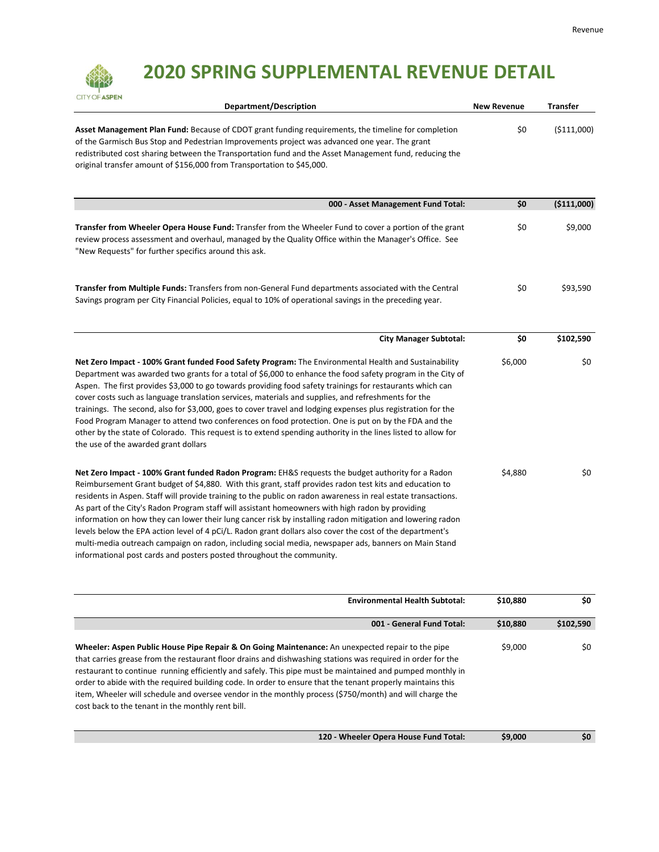## **2020 SPRING SUPPLEMENTAL REVENUE DETAIL**

| CITY OF ASPEN                                         | Department/Description                                                                                                                                                                                                                                                                                                                                                                                                                                                                                                                                                                                                                                                                                                                                                                                                                        | <b>New Revenue</b> | <b>Transfer</b> |
|-------------------------------------------------------|-----------------------------------------------------------------------------------------------------------------------------------------------------------------------------------------------------------------------------------------------------------------------------------------------------------------------------------------------------------------------------------------------------------------------------------------------------------------------------------------------------------------------------------------------------------------------------------------------------------------------------------------------------------------------------------------------------------------------------------------------------------------------------------------------------------------------------------------------|--------------------|-----------------|
|                                                       | Asset Management Plan Fund: Because of CDOT grant funding requirements, the timeline for completion<br>of the Garmisch Bus Stop and Pedestrian Improvements project was advanced one year. The grant<br>redistributed cost sharing between the Transportation fund and the Asset Management fund, reducing the<br>original transfer amount of \$156,000 from Transportation to \$45,000.                                                                                                                                                                                                                                                                                                                                                                                                                                                      | \$0                | ( \$111,000)    |
|                                                       | 000 - Asset Management Fund Total:                                                                                                                                                                                                                                                                                                                                                                                                                                                                                                                                                                                                                                                                                                                                                                                                            | \$0                | (\$111,000)     |
| "New Requests" for further specifics around this ask. | Transfer from Wheeler Opera House Fund: Transfer from the Wheeler Fund to cover a portion of the grant<br>review process assessment and overhaul, managed by the Quality Office within the Manager's Office. See                                                                                                                                                                                                                                                                                                                                                                                                                                                                                                                                                                                                                              | \$0                | \$9,000         |
|                                                       | Transfer from Multiple Funds: Transfers from non-General Fund departments associated with the Central<br>Savings program per City Financial Policies, equal to 10% of operational savings in the preceding year.                                                                                                                                                                                                                                                                                                                                                                                                                                                                                                                                                                                                                              | \$0                | \$93,590        |
|                                                       | <b>City Manager Subtotal:</b>                                                                                                                                                                                                                                                                                                                                                                                                                                                                                                                                                                                                                                                                                                                                                                                                                 | \$0                | \$102,590       |
| the use of the awarded grant dollars                  | Net Zero Impact - 100% Grant funded Food Safety Program: The Environmental Health and Sustainability<br>Department was awarded two grants for a total of \$6,000 to enhance the food safety program in the City of<br>Aspen. The first provides \$3,000 to go towards providing food safety trainings for restaurants which can<br>cover costs such as language translation services, materials and supplies, and refreshments for the<br>trainings. The second, also for \$3,000, goes to cover travel and lodging expenses plus registration for the<br>Food Program Manager to attend two conferences on food protection. One is put on by the FDA and the<br>other by the state of Colorado. This request is to extend spending authority in the lines listed to allow for                                                                | \$6,000            | \$0             |
|                                                       | Net Zero Impact - 100% Grant funded Radon Program: EH&S requests the budget authority for a Radon<br>Reimbursement Grant budget of \$4,880. With this grant, staff provides radon test kits and education to<br>residents in Aspen. Staff will provide training to the public on radon awareness in real estate transactions.<br>As part of the City's Radon Program staff will assistant homeowners with high radon by providing<br>information on how they can lower their lung cancer risk by installing radon mitigation and lowering radon<br>levels below the EPA action level of 4 pCi/L. Radon grant dollars also cover the cost of the department's<br>multi-media outreach campaign on radon, including social media, newspaper ads, banners on Main Stand<br>informational post cards and posters posted throughout the community. | \$4,880            | \$0             |
|                                                       | <b>Environmental Health Subtotal:</b>                                                                                                                                                                                                                                                                                                                                                                                                                                                                                                                                                                                                                                                                                                                                                                                                         | \$10,880           | \$0             |
|                                                       | 001 - General Fund Total:                                                                                                                                                                                                                                                                                                                                                                                                                                                                                                                                                                                                                                                                                                                                                                                                                     | \$10,880           | \$102,590       |
|                                                       | Wheeler: Aspen Public House Pipe Repair & On Going Maintenance: An unexpected repair to the pipe                                                                                                                                                                                                                                                                                                                                                                                                                                                                                                                                                                                                                                                                                                                                              | \$9,000            | \$0             |

that carries grease from the restaurant floor drains and dishwashing stations was required in order for the restaurant to continue running efficiently and safely. This pipe must be maintained and pumped monthly in order to abide with the required building code. In order to ensure that the tenant properly maintains this item, Wheeler will schedule and oversee vendor in the monthly process (\$750/month) and will charge the cost back to the tenant in the monthly rent bill.

**120 ‐ Wheeler Opera House Fund Total: \$9,000 \$0**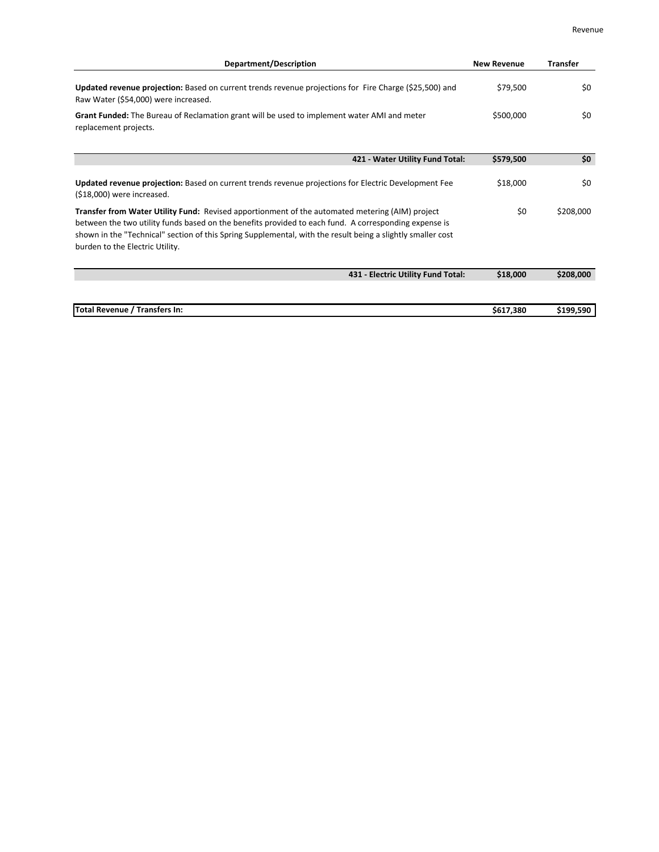| <b>Department/Description</b>                                                                                                                                                                                                                                                                                                                                     | <b>New Revenue</b> | <b>Transfer</b> |
|-------------------------------------------------------------------------------------------------------------------------------------------------------------------------------------------------------------------------------------------------------------------------------------------------------------------------------------------------------------------|--------------------|-----------------|
| Updated revenue projection: Based on current trends revenue projections for Fire Charge (\$25,500) and<br>Raw Water (\$54,000) were increased.                                                                                                                                                                                                                    | \$79,500           | \$0             |
| Grant Funded: The Bureau of Reclamation grant will be used to implement water AMI and meter<br>replacement projects.                                                                                                                                                                                                                                              | \$500,000          | \$0             |
| 421 - Water Utility Fund Total:                                                                                                                                                                                                                                                                                                                                   | \$579,500          | \$0             |
| Updated revenue projection: Based on current trends revenue projections for Electric Development Fee<br>$(518,000)$ were increased.                                                                                                                                                                                                                               | \$18,000           | \$0             |
| <b>Transfer from Water Utility Fund:</b> Revised apportionment of the automated metering (AIM) project<br>between the two utility funds based on the benefits provided to each fund. A corresponding expense is<br>shown in the "Technical" section of this Spring Supplemental, with the result being a slightly smaller cost<br>burden to the Electric Utility. | \$0                | \$208,000       |
| 431 - Electric Utility Fund Total:                                                                                                                                                                                                                                                                                                                                | \$18,000           | \$208,000       |
| Total Revenue / Transfers In:                                                                                                                                                                                                                                                                                                                                     | \$617,380          | \$199,590       |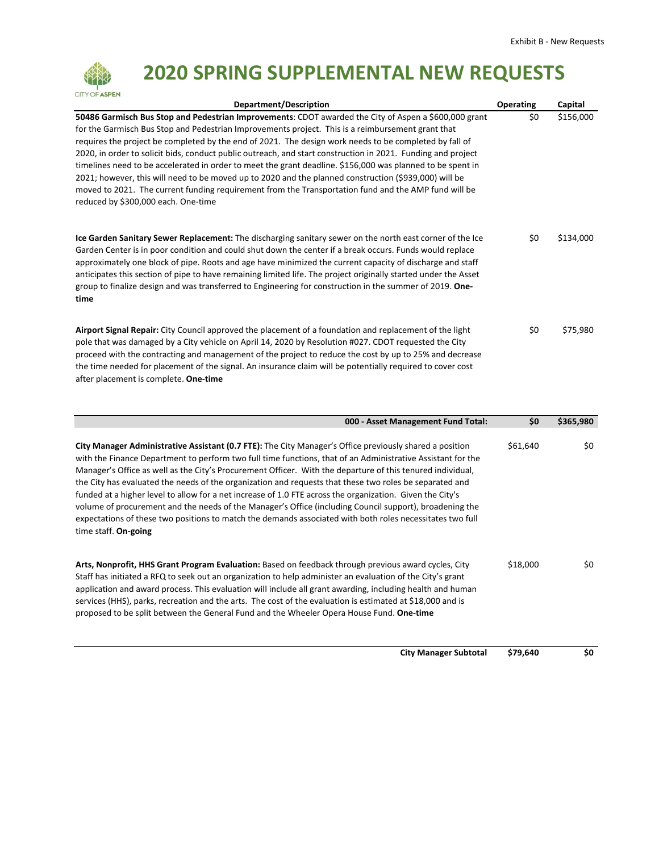

## **2020 SPRING SUPPLEMENTAL NEW REQUESTS**

| Department/Description                                                                                                                                                                                                                                                                                                                                                                                                                                                                                                                                                                                                                                                                                                                                                                                     | <b>Operating</b> | Capital   |
|------------------------------------------------------------------------------------------------------------------------------------------------------------------------------------------------------------------------------------------------------------------------------------------------------------------------------------------------------------------------------------------------------------------------------------------------------------------------------------------------------------------------------------------------------------------------------------------------------------------------------------------------------------------------------------------------------------------------------------------------------------------------------------------------------------|------------------|-----------|
| 50486 Garmisch Bus Stop and Pedestrian Improvements: CDOT awarded the City of Aspen a \$600,000 grant<br>for the Garmisch Bus Stop and Pedestrian Improvements project. This is a reimbursement grant that<br>requires the project be completed by the end of 2021. The design work needs to be completed by fall of<br>2020, in order to solicit bids, conduct public outreach, and start construction in 2021. Funding and project<br>timelines need to be accelerated in order to meet the grant deadline. \$156,000 was planned to be spent in<br>2021; however, this will need to be moved up to 2020 and the planned construction (\$939,000) will be<br>moved to 2021. The current funding requirement from the Transportation fund and the AMP fund will be<br>reduced by \$300,000 each. One-time | \$0              | \$156,000 |
| Ice Garden Sanitary Sewer Replacement: The discharging sanitary sewer on the north east corner of the Ice<br>Garden Center is in poor condition and could shut down the center if a break occurs. Funds would replace<br>approximately one block of pipe. Roots and age have minimized the current capacity of discharge and staff<br>anticipates this section of pipe to have remaining limited life. The project originally started under the Asset<br>group to finalize design and was transferred to Engineering for construction in the summer of 2019. One-<br>time                                                                                                                                                                                                                                  | \$0              | \$134,000 |
| Airport Signal Repair: City Council approved the placement of a foundation and replacement of the light<br>pole that was damaged by a City vehicle on April 14, 2020 by Resolution #027. CDOT requested the City<br>proceed with the contracting and management of the project to reduce the cost by up to 25% and decrease<br>the time needed for placement of the signal. An insurance claim will be potentially required to cover cost<br>after placement is complete. One-time                                                                                                                                                                                                                                                                                                                         | \$0              | \$75,980  |

|                                                                                                                                                                                                                                                                                                                                                                                                                                                                                                                                                                                                                                                                                                                                                                                                              | 000 - Asset Management Fund Total: | \$0      | \$365,980 |
|--------------------------------------------------------------------------------------------------------------------------------------------------------------------------------------------------------------------------------------------------------------------------------------------------------------------------------------------------------------------------------------------------------------------------------------------------------------------------------------------------------------------------------------------------------------------------------------------------------------------------------------------------------------------------------------------------------------------------------------------------------------------------------------------------------------|------------------------------------|----------|-----------|
| City Manager Administrative Assistant (0.7 FTE): The City Manager's Office previously shared a position<br>with the Finance Department to perform two full time functions, that of an Administrative Assistant for the<br>Manager's Office as well as the City's Procurement Officer. With the departure of this tenured individual,<br>the City has evaluated the needs of the organization and requests that these two roles be separated and<br>funded at a higher level to allow for a net increase of 1.0 FTE across the organization. Given the City's<br>volume of procurement and the needs of the Manager's Office (including Council support), broadening the<br>expectations of these two positions to match the demands associated with both roles necessitates two full<br>time staff. On-going |                                    | \$61,640 | \$0       |
| Arts, Nonprofit, HHS Grant Program Evaluation: Based on feedback through previous award cycles, City<br>Staff has initiated a RFQ to seek out an organization to help administer an evaluation of the City's grant<br>application and award process. This evaluation will include all grant awarding, including health and human<br>services (HHS), parks, recreation and the arts. The cost of the evaluation is estimated at \$18,000 and is<br>proposed to be split between the General Fund and the Wheeler Opera House Fund. One-time                                                                                                                                                                                                                                                                   |                                    | \$18,000 | \$0       |

**City Manager Subtotal \$79,640 \$0**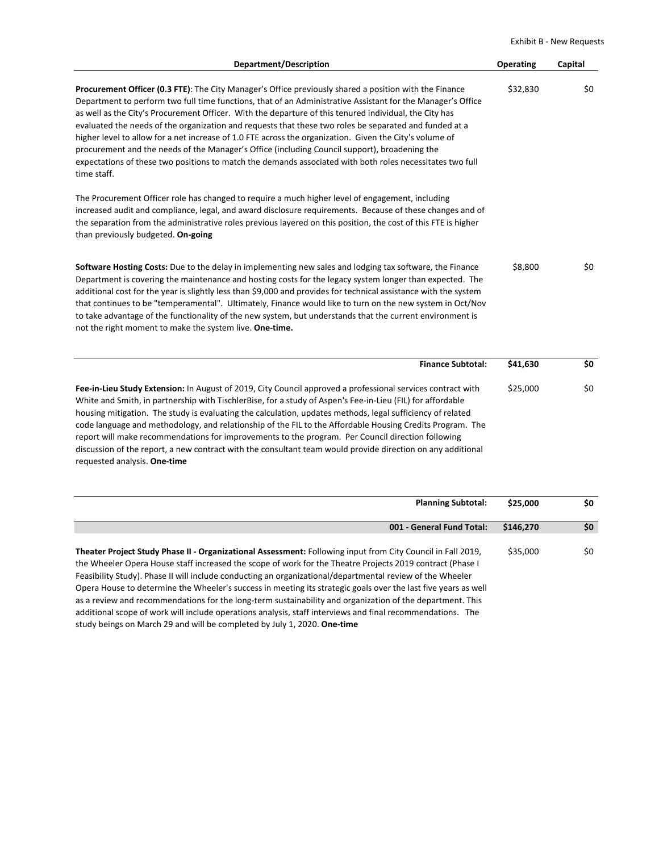Exhibit B ‐ New Requests

| <b>Department/Description</b>                                                                                                                                                                                                                                                                                                                                                                                                                                                                                                                                                                                                                                                                                                                                                     | Operating | Capital |
|-----------------------------------------------------------------------------------------------------------------------------------------------------------------------------------------------------------------------------------------------------------------------------------------------------------------------------------------------------------------------------------------------------------------------------------------------------------------------------------------------------------------------------------------------------------------------------------------------------------------------------------------------------------------------------------------------------------------------------------------------------------------------------------|-----------|---------|
| Procurement Officer (0.3 FTE): The City Manager's Office previously shared a position with the Finance<br>Department to perform two full time functions, that of an Administrative Assistant for the Manager's Office<br>as well as the City's Procurement Officer. With the departure of this tenured individual, the City has<br>evaluated the needs of the organization and requests that these two roles be separated and funded at a<br>higher level to allow for a net increase of 1.0 FTE across the organization. Given the City's volume of<br>procurement and the needs of the Manager's Office (including Council support), broadening the<br>expectations of these two positions to match the demands associated with both roles necessitates two full<br>time staff. | \$32,830  | \$0     |
| The Procurement Officer role has changed to require a much higher level of engagement, including<br>increased audit and compliance, legal, and award disclosure requirements. Because of these changes and of<br>the separation from the administrative roles previous layered on this position, the cost of this FTE is higher<br>than previously budgeted. On-going                                                                                                                                                                                                                                                                                                                                                                                                             |           |         |
| Software Hosting Costs: Due to the delay in implementing new sales and lodging tax software, the Finance<br>Department is covering the maintenance and hosting costs for the legacy system longer than expected. The<br>additional cost for the year is slightly less than \$9,000 and provides for technical assistance with the system<br>that continues to be "temperamental". Ultimately, Finance would like to turn on the new system in Oct/Nov<br>to take advantage of the functionality of the new system, but understands that the current environment is<br>not the right moment to make the system live. One-time.                                                                                                                                                     | \$8,800   | \$0     |
| <b>Finance Subtotal:</b>                                                                                                                                                                                                                                                                                                                                                                                                                                                                                                                                                                                                                                                                                                                                                          | \$41,630  | \$0     |
| Fee-in-Lieu Study Extension: In August of 2019, City Council approved a professional services contract with<br>White and Smith, in partnership with TischlerBise, for a study of Aspen's Fee-in-Lieu (FIL) for affordable<br>housing mitigation. The study is evaluating the calculation, updates methods, legal sufficiency of related<br>code language and methodology, and relationship of the FIL to the Affordable Housing Credits Program. The<br>report will make recommendations for improvements to the program. Per Council direction following<br>discussion of the report, a new contract with the consultant team would provide direction on any additional<br>requested analysis. One-time                                                                          | \$25,000  | \$0     |

| <b>Planning Subtotal:</b>                                                                                                                                                                                                   | \$25,000  | \$0 |
|-----------------------------------------------------------------------------------------------------------------------------------------------------------------------------------------------------------------------------|-----------|-----|
| 001 - General Fund Total:                                                                                                                                                                                                   | \$146,270 | \$0 |
| Theater Project Study Phase II - Organizational Assessment: Following input from City Council in Fall 2019,<br>the Wheeler Opera House staff increased the scope of work for the Theatre Projects 2019 contract (Phase I    | \$35,000  | \$0 |
| Feasibility Study). Phase II will include conducting an organizational/departmental review of the Wheeler<br>Opera House to determine the Wheeler's success in meeting its strategic goals over the last five years as well |           |     |
| as a review and recommendations for the long-term sustainability and organization of the department. This                                                                                                                   |           |     |
| additional scope of work will include operations analysis, staff interviews and final recommendations. The<br>study beings on March 29 and will be completed by July 1, 2020. One-time                                      |           |     |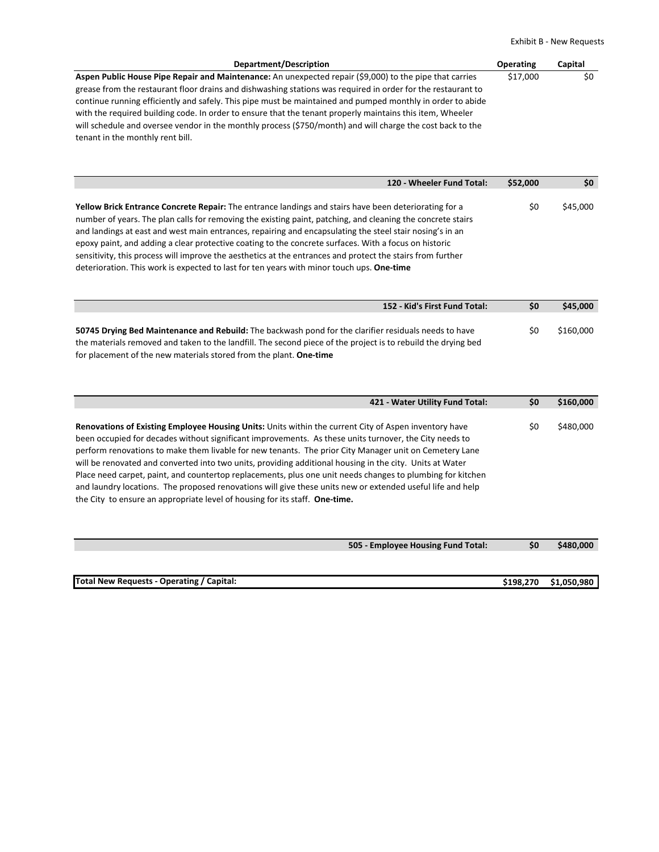Exhibit B ‐ New Requests

| Department/Description                                                                                       | <b>Operating</b> | Capital |
|--------------------------------------------------------------------------------------------------------------|------------------|---------|
| Aspen Public House Pipe Repair and Maintenance: An unexpected repair (\$9,000) to the pipe that carries      | \$17,000         | SO.     |
| grease from the restaurant floor drains and dishwashing stations was required in order for the restaurant to |                  |         |
| continue running efficiently and safely. This pipe must be maintained and pumped monthly in order to abide   |                  |         |
| with the required building code. In order to ensure that the tenant properly maintains this item, Wheeler    |                  |         |
| will schedule and oversee vendor in the monthly process (\$750/month) and will charge the cost back to the   |                  |         |
| tenant in the monthly rent bill.                                                                             |                  |         |

| 120 - Wheeler Fund Total:                                                                                                                                                                                                                                                                                                                                                                                                                                                                                                                                                                                                                            | \$52,000 | \$0      |
|------------------------------------------------------------------------------------------------------------------------------------------------------------------------------------------------------------------------------------------------------------------------------------------------------------------------------------------------------------------------------------------------------------------------------------------------------------------------------------------------------------------------------------------------------------------------------------------------------------------------------------------------------|----------|----------|
| Yellow Brick Entrance Concrete Repair: The entrance landings and stairs have been deteriorating for a<br>number of years. The plan calls for removing the existing paint, patching, and cleaning the concrete stairs<br>and landings at east and west main entrances, repairing and encapsulating the steel stair nosing's in an<br>epoxy paint, and adding a clear protective coating to the concrete surfaces. With a focus on historic<br>sensitivity, this process will improve the aesthetics at the entrances and protect the stairs from further<br>deterioration. This work is expected to last for ten years with minor touch ups. One-time | \$0      | \$45,000 |

| 152 - Kid's First Fund Total:                                                                                 | <b>SO</b> | \$45,000  |
|---------------------------------------------------------------------------------------------------------------|-----------|-----------|
|                                                                                                               |           |           |
| 50745 Drying Bed Maintenance and Rebuild: The backwash pond for the clarifier residuals needs to have         | S0        | \$160,000 |
| the materials removed and taken to the landfill. The second piece of the project is to rebuild the drying bed |           |           |
| for placement of the new materials stored from the plant. One-time                                            |           |           |

| 421 - Water Utility Fund Total:                                                                                                                                                                                                                                                                                                                                                                                                                                                                                                                                                                                                                                                                                                                  | \$0 | \$160,000 |
|--------------------------------------------------------------------------------------------------------------------------------------------------------------------------------------------------------------------------------------------------------------------------------------------------------------------------------------------------------------------------------------------------------------------------------------------------------------------------------------------------------------------------------------------------------------------------------------------------------------------------------------------------------------------------------------------------------------------------------------------------|-----|-----------|
| Renovations of Existing Employee Housing Units: Units within the current City of Aspen inventory have<br>been occupied for decades without significant improvements. As these units turnover, the City needs to<br>perform renovations to make them livable for new tenants. The prior City Manager unit on Cemetery Lane<br>will be renovated and converted into two units, providing additional housing in the city. Units at Water<br>Place need carpet, paint, and countertop replacements, plus one unit needs changes to plumbing for kitchen<br>and laundry locations. The proposed renovations will give these units new or extended useful life and help<br>the City to ensure an appropriate level of housing for its staff. One-time. | \$0 | \$480,000 |
| 505 - Employee Housing Fund Total:                                                                                                                                                                                                                                                                                                                                                                                                                                                                                                                                                                                                                                                                                                               | \$0 | \$480,000 |

| Total New Requests - Operating / Capital: | \$198,270 \$1,050,980 |
|-------------------------------------------|-----------------------|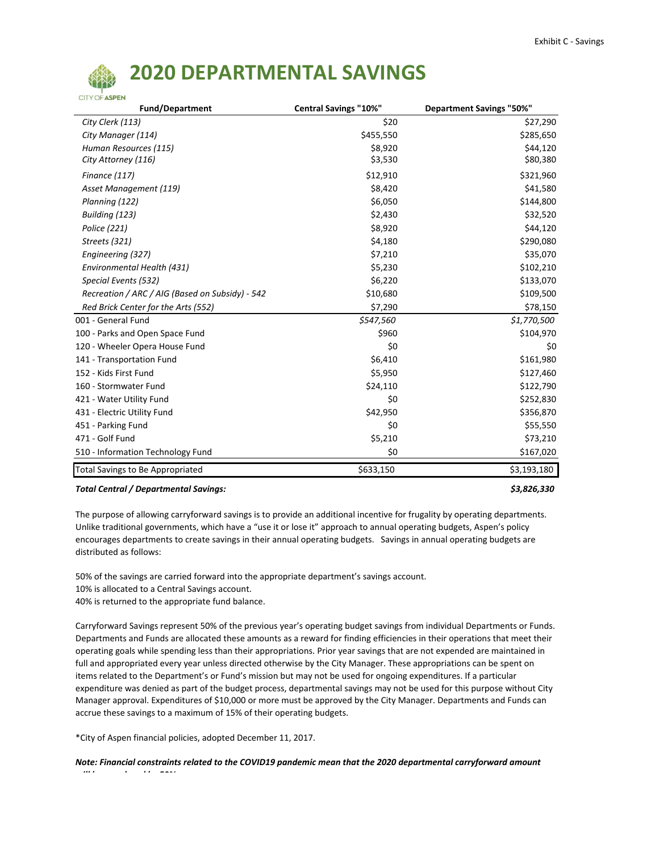# **CITY OF ASPEN**

## **2020 DEPARTMENTAL SAVINGS**

| <b>Fund/Department</b>                          | <b>Central Savings "10%"</b> | <b>Department Savings "50%"</b> |
|-------------------------------------------------|------------------------------|---------------------------------|
| City Clerk (113)                                | \$20                         | \$27,290                        |
| City Manager (114)                              | \$455,550                    | \$285,650                       |
| Human Resources (115)                           | \$8,920                      | \$44,120                        |
| City Attorney (116)                             | \$3,530                      | \$80,380                        |
| Finance (117)                                   | \$12,910                     | \$321,960                       |
| Asset Management (119)                          | \$8,420                      | \$41,580                        |
| Planning (122)                                  | \$6,050                      | \$144,800                       |
| Building (123)                                  | \$2,430                      | \$32,520                        |
| Police (221)                                    | \$8,920                      | \$44,120                        |
| Streets (321)                                   | \$4,180                      | \$290,080                       |
| Engineering (327)                               | \$7,210                      | \$35,070                        |
| Environmental Health (431)                      | \$5,230                      | \$102,210                       |
| Special Events (532)                            | \$6,220                      | \$133,070                       |
| Recreation / ARC / AIG (Based on Subsidy) - 542 | \$10,680                     | \$109,500                       |
| Red Brick Center for the Arts (552)             | \$7,290                      | \$78,150                        |
| 001 - General Fund                              | \$547,560                    | \$1,770,500                     |
| 100 - Parks and Open Space Fund                 | \$960                        | \$104,970                       |
| 120 - Wheeler Opera House Fund                  | \$0                          | \$0                             |
| 141 - Transportation Fund                       | \$6,410                      | \$161,980                       |
| 152 - Kids First Fund                           | \$5,950                      | \$127,460                       |
| 160 - Stormwater Fund                           | \$24,110                     | \$122,790                       |
| 421 - Water Utility Fund                        | \$0                          | \$252,830                       |
| 431 - Electric Utility Fund                     | \$42,950                     | \$356,870                       |
| 451 - Parking Fund                              | \$0                          | \$55,550                        |
| 471 - Golf Fund                                 | \$5,210                      | \$73,210                        |
| 510 - Information Technology Fund               | \$0                          | \$167,020                       |
| <b>Total Savings to Be Appropriated</b>         | \$633,150                    | \$3,193,180                     |

#### *Total Central / Departmental Savings: \$3,826,330*

The purpose of allowing carryforward savings is to provide an additional incentive for frugality by operating departments. Unlike traditional governments, which have a "use it or lose it" approach to annual operating budgets, Aspen's policy encourages departments to create savings in their annual operating budgets. Savings in annual operating budgets are distributed as follows:

50% of the savings are carried forward into the appropriate department's savings account.

10% is allocated to a Central Savings account.

40% is returned to the appropriate fund balance.

Carryforward Savings represent 50% of the previous year's operating budget savings from individual Departments or Funds. Departments and Funds are allocated these amounts as a reward for finding efficiencies in their operations that meet their operating goals while spending less than their appropriations. Prior year savings that are not expended are maintained in full and appropriated every year unless directed otherwise by the City Manager. These appropriations can be spent on items related to the Department's or Fund's mission but may not be used for ongoing expenditures. If a particular expenditure was denied as part of the budget process, departmental savings may not be used for this purpose without City Manager approval. Expenditures of \$10,000 or more must be approved by the City Manager. Departments and Funds can accrue these savings to a maximum of 15% of their operating budgets.

\*City of Aspen financial policies, adopted December 11, 2017.

*ill b d d b 50%*

*Note: Financial constraints related to the COVID19 pandemic mean that the 2020 departmental carryforward amount*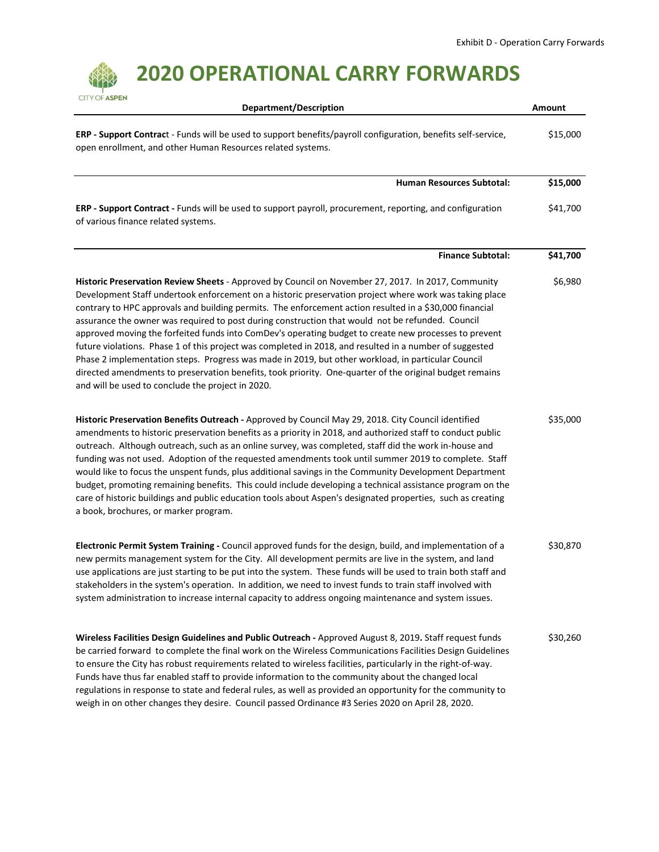## **2020 OPERATIONAL CARRY FORWARDS**

| CITY OF ASPEN<br><b>Department/Description</b>                                                                                                                                                                                                                                                                                                                                                                                                                                                                                                                                                                                                                                                                                                                                                                                                                                                                        | Amount   |
|-----------------------------------------------------------------------------------------------------------------------------------------------------------------------------------------------------------------------------------------------------------------------------------------------------------------------------------------------------------------------------------------------------------------------------------------------------------------------------------------------------------------------------------------------------------------------------------------------------------------------------------------------------------------------------------------------------------------------------------------------------------------------------------------------------------------------------------------------------------------------------------------------------------------------|----------|
| ERP - Support Contract - Funds will be used to support benefits/payroll configuration, benefits self-service,<br>open enrollment, and other Human Resources related systems.                                                                                                                                                                                                                                                                                                                                                                                                                                                                                                                                                                                                                                                                                                                                          | \$15,000 |
| Human Resources Subtotal:                                                                                                                                                                                                                                                                                                                                                                                                                                                                                                                                                                                                                                                                                                                                                                                                                                                                                             | \$15,000 |
| ERP - Support Contract - Funds will be used to support payroll, procurement, reporting, and configuration<br>of various finance related systems.                                                                                                                                                                                                                                                                                                                                                                                                                                                                                                                                                                                                                                                                                                                                                                      | \$41,700 |
| <b>Finance Subtotal:</b>                                                                                                                                                                                                                                                                                                                                                                                                                                                                                                                                                                                                                                                                                                                                                                                                                                                                                              | \$41,700 |
| Historic Preservation Review Sheets - Approved by Council on November 27, 2017. In 2017, Community<br>Development Staff undertook enforcement on a historic preservation project where work was taking place<br>contrary to HPC approvals and building permits. The enforcement action resulted in a \$30,000 financial<br>assurance the owner was required to post during construction that would not be refunded. Council<br>approved moving the forfeited funds into ComDev's operating budget to create new processes to prevent<br>future violations. Phase 1 of this project was completed in 2018, and resulted in a number of suggested<br>Phase 2 implementation steps. Progress was made in 2019, but other workload, in particular Council<br>directed amendments to preservation benefits, took priority. One-quarter of the original budget remains<br>and will be used to conclude the project in 2020. | \$6,980  |
| Historic Preservation Benefits Outreach - Approved by Council May 29, 2018. City Council identified<br>amendments to historic preservation benefits as a priority in 2018, and authorized staff to conduct public<br>outreach. Although outreach, such as an online survey, was completed, staff did the work in-house and<br>funding was not used. Adoption of the requested amendments took until summer 2019 to complete. Staff<br>would like to focus the unspent funds, plus additional savings in the Community Development Department<br>budget, promoting remaining benefits. This could include developing a technical assistance program on the<br>care of historic buildings and public education tools about Aspen's designated properties, such as creating<br>a book, brochures, or marker program.                                                                                                     | \$35,000 |
| Electronic Permit System Training - Council approved funds for the design, build, and implementation of a<br>new permits management system for the City. All development permits are live in the system, and land<br>use applications are just starting to be put into the system. These funds will be used to train both staff and<br>stakeholders in the system's operation. In addition, we need to invest funds to train staff involved with<br>system administration to increase internal capacity to address ongoing maintenance and system issues.                                                                                                                                                                                                                                                                                                                                                             | \$30,870 |
| Wireless Facilities Design Guidelines and Public Outreach - Approved August 8, 2019. Staff request funds<br>be carried forward to complete the final work on the Wireless Communications Facilities Design Guidelines<br>to ensure the City has robust requirements related to wireless facilities, particularly in the right-of-way.<br>Funds have thus far enabled staff to provide information to the community about the changed local<br>regulations in response to state and federal rules, as well as provided an opportunity for the community to<br>weigh in on other changes they desire. Council passed Ordinance #3 Series 2020 on April 28, 2020.                                                                                                                                                                                                                                                        | \$30,260 |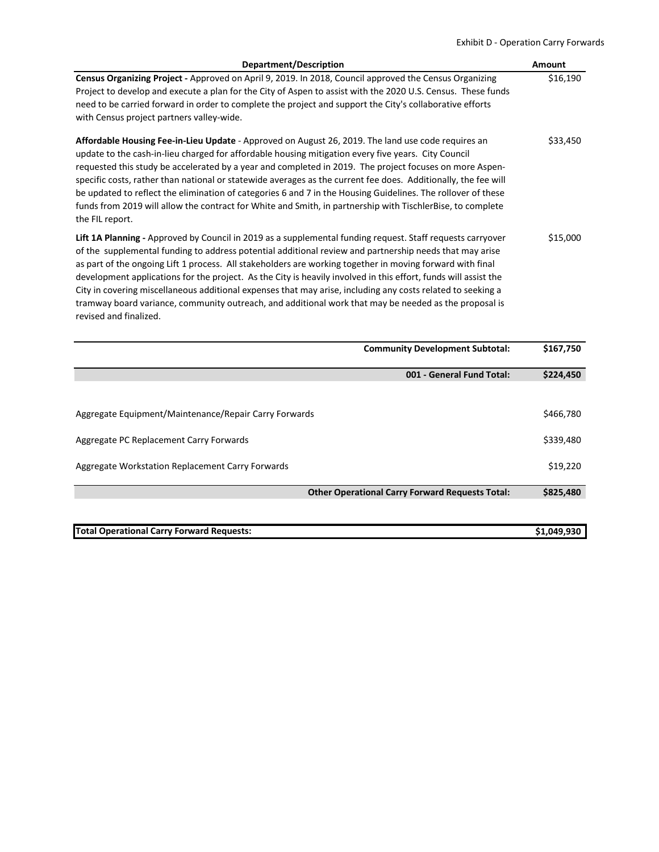### Exhibit D ‐ Operation Carry Forwards

| Department/Description                                                                                                                                                                                                                                                                                                                                                                                                                                                                                                                                                                                                                                                                                  | Amount   |
|---------------------------------------------------------------------------------------------------------------------------------------------------------------------------------------------------------------------------------------------------------------------------------------------------------------------------------------------------------------------------------------------------------------------------------------------------------------------------------------------------------------------------------------------------------------------------------------------------------------------------------------------------------------------------------------------------------|----------|
| Census Organizing Project - Approved on April 9, 2019. In 2018, Council approved the Census Organizing<br>Project to develop and execute a plan for the City of Aspen to assist with the 2020 U.S. Census. These funds<br>need to be carried forward in order to complete the project and support the City's collaborative efforts<br>with Census project partners valley-wide.                                                                                                                                                                                                                                                                                                                         | \$16,190 |
| Affordable Housing Fee-in-Lieu Update - Approved on August 26, 2019. The land use code requires an<br>update to the cash-in-lieu charged for affordable housing mitigation every five years. City Council<br>requested this study be accelerated by a year and completed in 2019. The project focuses on more Aspen-<br>specific costs, rather than national or statewide averages as the current fee does. Additionally, the fee will<br>be updated to reflect the elimination of categories 6 and 7 in the Housing Guidelines. The rollover of these<br>funds from 2019 will allow the contract for White and Smith, in partnership with TischlerBise, to complete<br>the FIL report.                 | \$33,450 |
| Lift 1A Planning - Approved by Council in 2019 as a supplemental funding request. Staff requests carryover<br>of the supplemental funding to address potential additional review and partnership needs that may arise<br>as part of the ongoing Lift 1 process. All stakeholders are working together in moving forward with final<br>development applications for the project. As the City is heavily involved in this effort, funds will assist the<br>City in covering miscellaneous additional expenses that may arise, including any costs related to seeking a<br>tramway board variance, community outreach, and additional work that may be needed as the proposal is<br>revised and finalized. | \$15,000 |

|                                                       | <b>Community Development Subtotal:</b>                 | \$167,750 |
|-------------------------------------------------------|--------------------------------------------------------|-----------|
|                                                       | 001 - General Fund Total:                              | \$224,450 |
|                                                       |                                                        |           |
| Aggregate Equipment/Maintenance/Repair Carry Forwards |                                                        | \$466,780 |
| Aggregate PC Replacement Carry Forwards               |                                                        | \$339,480 |
| Aggregate Workstation Replacement Carry Forwards      |                                                        | \$19,220  |
|                                                       | <b>Other Operational Carry Forward Requests Total:</b> | \$825,480 |
|                                                       |                                                        |           |

| <b>Total Operational Carry Forward Requests:</b> | \$1.049.930 |
|--------------------------------------------------|-------------|
|                                                  |             |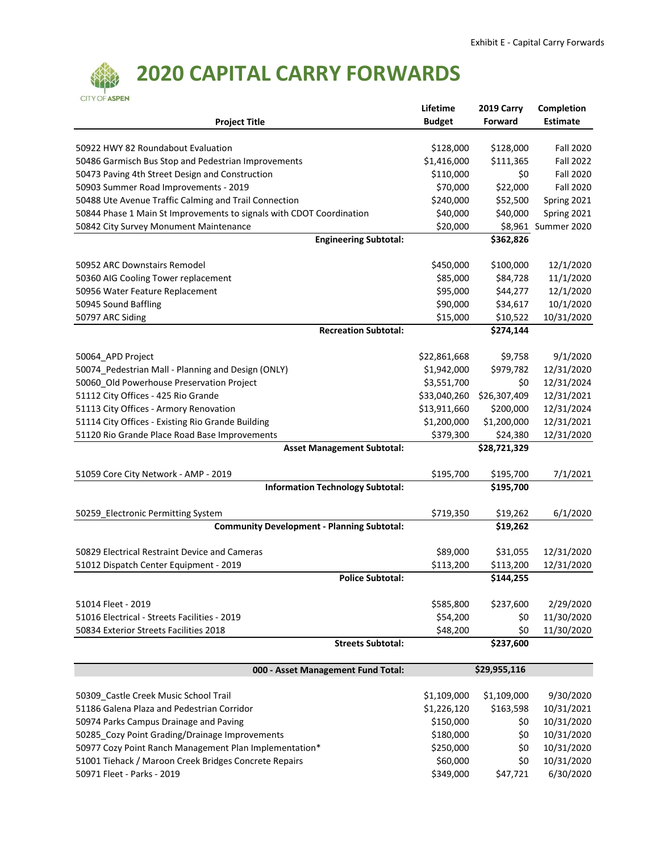

## **2020 CAPITAL CARRY FORWARDS**

|                                                                                                                 | Lifetime              | 2019 Carry            | Completion               |
|-----------------------------------------------------------------------------------------------------------------|-----------------------|-----------------------|--------------------------|
| <b>Project Title</b>                                                                                            | <b>Budget</b>         | <b>Forward</b>        | <b>Estimate</b>          |
|                                                                                                                 |                       |                       |                          |
| 50922 HWY 82 Roundabout Evaluation                                                                              | \$128,000             | \$128,000             | <b>Fall 2020</b>         |
| 50486 Garmisch Bus Stop and Pedestrian Improvements                                                             | \$1,416,000           | \$111,365             | <b>Fall 2022</b>         |
| 50473 Paving 4th Street Design and Construction                                                                 | \$110,000             | \$0                   | <b>Fall 2020</b>         |
| 50903 Summer Road Improvements - 2019                                                                           | \$70,000              | \$22,000              | <b>Fall 2020</b>         |
| 50488 Ute Avenue Traffic Calming and Trail Connection                                                           | \$240,000             | \$52,500              | Spring 2021              |
| 50844 Phase 1 Main St Improvements to signals with CDOT Coordination                                            | \$40,000              | \$40,000              | Spring 2021              |
| 50842 City Survey Monument Maintenance                                                                          | \$20,000              |                       | \$8,961 Summer 2020      |
| <b>Engineering Subtotal:</b>                                                                                    |                       | $\overline{$}362,826$ |                          |
|                                                                                                                 |                       |                       |                          |
| 50952 ARC Downstairs Remodel                                                                                    | \$450,000             | \$100,000             | 12/1/2020                |
|                                                                                                                 | \$85,000              | \$84,728              | 11/1/2020                |
| 50360 AIG Cooling Tower replacement                                                                             |                       |                       |                          |
| 50956 Water Feature Replacement                                                                                 | \$95,000              | \$44,277              | 12/1/2020                |
| 50945 Sound Baffling                                                                                            | \$90,000              | \$34,617              | 10/1/2020                |
| 50797 ARC Siding                                                                                                | \$15,000              | \$10,522              | 10/31/2020               |
| <b>Recreation Subtotal:</b>                                                                                     |                       | \$274,144             |                          |
|                                                                                                                 |                       |                       |                          |
| 50064_APD Project                                                                                               | \$22,861,668          | \$9,758               | 9/1/2020                 |
| 50074_Pedestrian Mall - Planning and Design (ONLY)                                                              | \$1,942,000           | \$979,782             | 12/31/2020               |
| 50060 Old Powerhouse Preservation Project                                                                       | \$3,551,700           | \$0                   | 12/31/2024               |
| 51112 City Offices - 425 Rio Grande                                                                             | \$33,040,260          | \$26,307,409          | 12/31/2021               |
| 51113 City Offices - Armory Renovation                                                                          | \$13,911,660          | \$200,000             | 12/31/2024               |
| 51114 City Offices - Existing Rio Grande Building                                                               | \$1,200,000           | \$1,200,000           | 12/31/2021               |
| 51120 Rio Grande Place Road Base Improvements                                                                   | \$379,300             | \$24,380              | 12/31/2020               |
| <b>Asset Management Subtotal:</b>                                                                               | \$28,721,329          |                       |                          |
|                                                                                                                 |                       |                       |                          |
| 51059 Core City Network - AMP - 2019                                                                            | \$195,700             | \$195,700             | 7/1/2021                 |
| <b>Information Technology Subtotal:</b>                                                                         |                       | \$195,700             |                          |
|                                                                                                                 |                       |                       |                          |
| 50259_Electronic Permitting System                                                                              | \$719,350             | \$19,262              | 6/1/2020                 |
| <b>Community Development - Planning Subtotal:</b><br>\$19,262                                                   |                       |                       |                          |
|                                                                                                                 |                       |                       |                          |
| 50829 Electrical Restraint Device and Cameras                                                                   | \$89,000              | \$31,055              | 12/31/2020               |
|                                                                                                                 |                       |                       |                          |
| 51012 Dispatch Center Equipment - 2019                                                                          | \$113,200             | \$113,200             | 12/31/2020               |
| <b>Police Subtotal:</b>                                                                                         |                       | \$144,255             |                          |
|                                                                                                                 |                       |                       |                          |
| 51014 Fleet - 2019                                                                                              | \$585,800             | \$237,600             | 2/29/2020                |
| 51016 Electrical - Streets Facilities - 2019                                                                    | \$54,200              | \$0                   | 11/30/2020               |
| 50834 Exterior Streets Facilities 2018                                                                          | \$48,200              | \$0                   | 11/30/2020               |
| <b>Streets Subtotal:</b>                                                                                        |                       | \$237,600             |                          |
|                                                                                                                 |                       |                       |                          |
| 000 - Asset Management Fund Total:                                                                              |                       | \$29,955,116          |                          |
|                                                                                                                 |                       |                       |                          |
| 50309_Castle Creek Music School Trail                                                                           | \$1,109,000           | \$1,109,000           | 9/30/2020                |
| 51186 Galena Plaza and Pedestrian Corridor                                                                      | \$1,226,120           | \$163,598             | 10/31/2021               |
| 50974 Parks Campus Drainage and Paving                                                                          | \$150,000             | \$0                   | 10/31/2020               |
| 50285_Cozy Point Grading/Drainage Improvements                                                                  | \$180,000             | \$0                   | 10/31/2020               |
|                                                                                                                 |                       |                       |                          |
| 50977 Cozy Point Ranch Management Plan Implementation*<br>51001 Tiehack / Maroon Creek Bridges Concrete Repairs | \$250,000<br>\$60,000 | \$0<br>\$0            | 10/31/2020<br>10/31/2020 |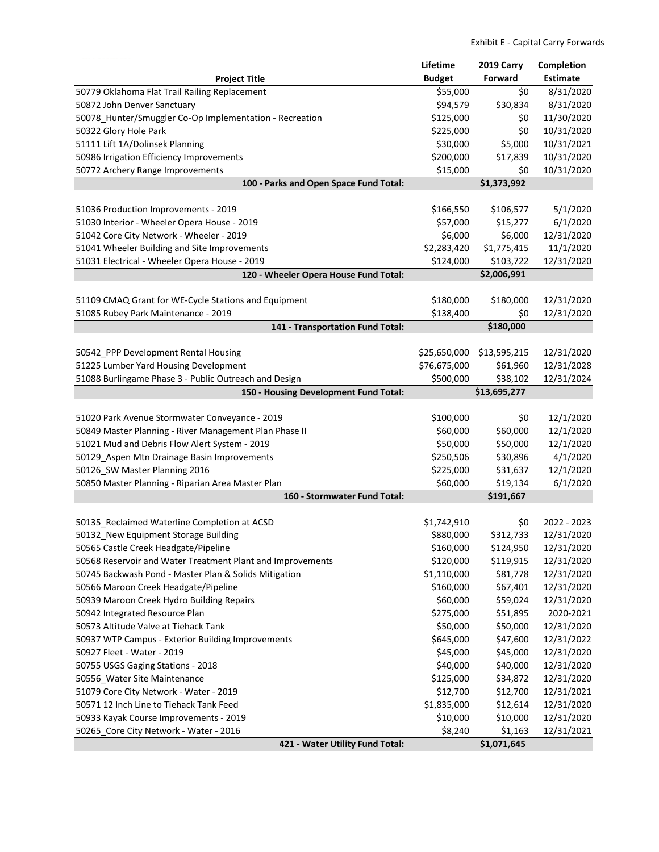|                                                            | Lifetime      | 2019 Carry   | Completion      |
|------------------------------------------------------------|---------------|--------------|-----------------|
| <b>Project Title</b>                                       | <b>Budget</b> | Forward      | <b>Estimate</b> |
| 50779 Oklahoma Flat Trail Railing Replacement              | \$55,000      | \$0          | 8/31/2020       |
| 50872 John Denver Sanctuary                                | \$94,579      | \$30,834     | 8/31/2020       |
| 50078_Hunter/Smuggler Co-Op Implementation - Recreation    | \$125,000     | \$0          | 11/30/2020      |
| 50322 Glory Hole Park                                      | \$225,000     | \$0          | 10/31/2020      |
| 51111 Lift 1A/Dolinsek Planning                            | \$30,000      | \$5,000      | 10/31/2021      |
| 50986 Irrigation Efficiency Improvements                   | \$200,000     | \$17,839     | 10/31/2020      |
| 50772 Archery Range Improvements                           | \$15,000      | \$0          | 10/31/2020      |
| 100 - Parks and Open Space Fund Total:                     |               | \$1,373,992  |                 |
|                                                            |               |              |                 |
| 51036 Production Improvements - 2019                       | \$166,550     | \$106,577    | 5/1/2020        |
| 51030 Interior - Wheeler Opera House - 2019                | \$57,000      | \$15,277     | 6/1/2020        |
| 51042 Core City Network - Wheeler - 2019                   | \$6,000       | \$6,000      | 12/31/2020      |
| 51041 Wheeler Building and Site Improvements               | \$2,283,420   | \$1,775,415  | 11/1/2020       |
| 51031 Electrical - Wheeler Opera House - 2019              | \$124,000     | \$103,722    | 12/31/2020      |
| 120 - Wheeler Opera House Fund Total:                      |               | \$2,006,991  |                 |
|                                                            |               |              |                 |
| 51109 CMAQ Grant for WE-Cycle Stations and Equipment       | \$180,000     | \$180,000    | 12/31/2020      |
| 51085 Rubey Park Maintenance - 2019                        | \$138,400     | \$0          | 12/31/2020      |
| 141 - Transportation Fund Total:                           |               | \$180,000    |                 |
|                                                            |               |              |                 |
| 50542_PPP Development Rental Housing                       | \$25,650,000  | \$13,595,215 | 12/31/2020      |
| 51225 Lumber Yard Housing Development                      | \$76,675,000  | \$61,960     | 12/31/2028      |
| 51088 Burlingame Phase 3 - Public Outreach and Design      | \$500,000     | \$38,102     | 12/31/2024      |
| 150 - Housing Development Fund Total:                      |               | \$13,695,277 |                 |
|                                                            |               |              |                 |
| 51020 Park Avenue Stormwater Conveyance - 2019             | \$100,000     | \$0          | 12/1/2020       |
| 50849 Master Planning - River Management Plan Phase II     | \$60,000      | \$60,000     | 12/1/2020       |
| 51021 Mud and Debris Flow Alert System - 2019              | \$50,000      | \$50,000     | 12/1/2020       |
| 50129_Aspen Mtn Drainage Basin Improvements                | \$250,506     | \$30,896     | 4/1/2020        |
| 50126_SW Master Planning 2016                              | \$225,000     | \$31,637     | 12/1/2020       |
| 50850 Master Planning - Riparian Area Master Plan          | \$60,000      | \$19,134     | 6/1/2020        |
| 160 - Stormwater Fund Total:                               |               | \$191,667    |                 |
|                                                            |               |              |                 |
| 50135_Reclaimed Waterline Completion at ACSD               | \$1,742,910   | \$0          | 2022 - 2023     |
| 50132 New Equipment Storage Building                       | \$880,000     | \$312,733    | 12/31/2020      |
| 50565 Castle Creek Headgate/Pipeline                       | \$160,000     | \$124,950    | 12/31/2020      |
| 50568 Reservoir and Water Treatment Plant and Improvements | \$120,000     | \$119,915    | 12/31/2020      |
| 50745 Backwash Pond - Master Plan & Solids Mitigation      | \$1,110,000   | \$81,778     | 12/31/2020      |
| 50566 Maroon Creek Headgate/Pipeline                       | \$160,000     | \$67,401     | 12/31/2020      |
| 50939 Maroon Creek Hydro Building Repairs                  | \$60,000      | \$59,024     | 12/31/2020      |
| 50942 Integrated Resource Plan                             | \$275,000     | \$51,895     | 2020-2021       |
| 50573 Altitude Valve at Tiehack Tank                       | \$50,000      | \$50,000     | 12/31/2020      |
| 50937 WTP Campus - Exterior Building Improvements          | \$645,000     | \$47,600     | 12/31/2022      |
| 50927 Fleet - Water - 2019                                 | \$45,000      | \$45,000     | 12/31/2020      |
| 50755 USGS Gaging Stations - 2018                          | \$40,000      | \$40,000     | 12/31/2020      |
| 50556_Water Site Maintenance                               | \$125,000     | \$34,872     | 12/31/2020      |
| 51079 Core City Network - Water - 2019                     | \$12,700      | \$12,700     | 12/31/2021      |
| 50571 12 Inch Line to Tiehack Tank Feed                    | \$1,835,000   | \$12,614     | 12/31/2020      |
| 50933 Kayak Course Improvements - 2019                     | \$10,000      | \$10,000     | 12/31/2020      |
| 50265_Core City Network - Water - 2016                     | \$8,240       | \$1,163      | 12/31/2021      |
| 421 - Water Utility Fund Total:                            |               | \$1,071,645  |                 |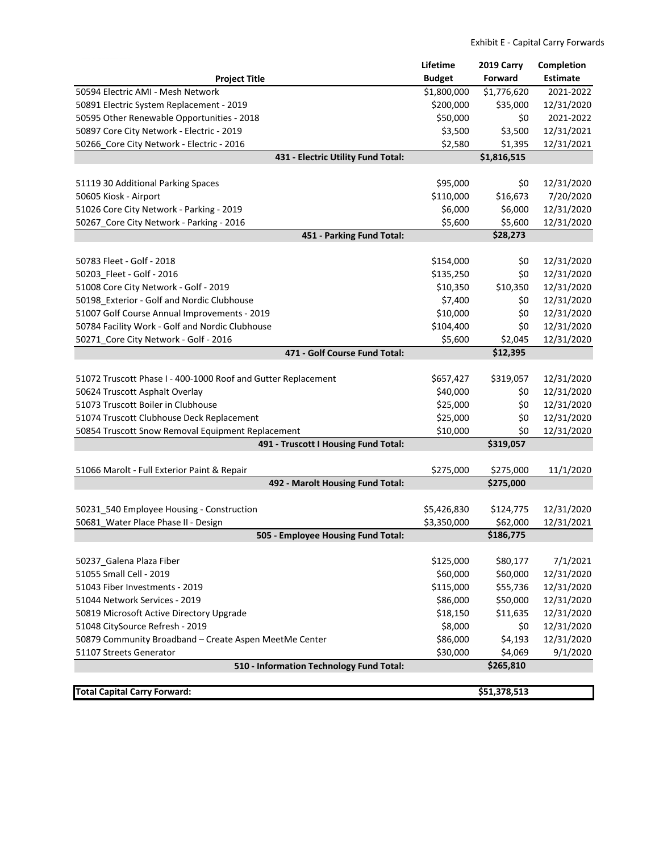|                                                               | Lifetime      | 2019 Carry   | <b>Completion</b>        |
|---------------------------------------------------------------|---------------|--------------|--------------------------|
| <b>Project Title</b>                                          | <b>Budget</b> | Forward      | <b>Estimate</b>          |
| 50594 Electric AMI - Mesh Network                             | \$1,800,000   | \$1,776,620  | 2021-2022                |
| 50891 Electric System Replacement - 2019                      | \$200,000     | \$35,000     | 12/31/2020               |
| 50595 Other Renewable Opportunities - 2018                    | \$50,000      | \$0          | 2021-2022                |
| 50897 Core City Network - Electric - 2019                     | \$3,500       | \$3,500      | 12/31/2021               |
| 50266_Core City Network - Electric - 2016                     | \$2,580       | \$1,395      | 12/31/2021               |
| 431 - Electric Utility Fund Total:                            |               | \$1,816,515  |                          |
|                                                               |               |              |                          |
| 51119 30 Additional Parking Spaces                            | \$95,000      | \$0          | 12/31/2020               |
| 50605 Kiosk - Airport                                         | \$110,000     | \$16,673     | 7/20/2020                |
| 51026 Core City Network - Parking - 2019                      | \$6,000       | \$6,000      | 12/31/2020               |
| 50267_Core City Network - Parking - 2016                      | \$5,600       | \$5,600      | 12/31/2020               |
| 451 - Parking Fund Total:                                     |               | \$28,273     |                          |
|                                                               |               |              |                          |
| 50783 Fleet - Golf - 2018<br>50203_Fleet - Golf - 2016        | \$154,000     | \$0          | 12/31/2020<br>12/31/2020 |
|                                                               | \$135,250     | \$0          |                          |
| 51008 Core City Network - Golf - 2019                         | \$10,350      | \$10,350     | 12/31/2020               |
| 50198 Exterior - Golf and Nordic Clubhouse                    | \$7,400       | \$0          | 12/31/2020               |
| 51007 Golf Course Annual Improvements - 2019                  | \$10,000      | \$0          | 12/31/2020               |
| 50784 Facility Work - Golf and Nordic Clubhouse               | \$104,400     | \$0          | 12/31/2020               |
| 50271_Core City Network - Golf - 2016                         | \$5,600       | \$2,045      | 12/31/2020               |
| 471 - Golf Course Fund Total:                                 |               | \$12,395     |                          |
| 51072 Truscott Phase I - 400-1000 Roof and Gutter Replacement | \$657,427     | \$319,057    | 12/31/2020               |
| 50624 Truscott Asphalt Overlay                                | \$40,000      | \$0          | 12/31/2020               |
| 51073 Truscott Boiler in Clubhouse                            | \$25,000      | \$0          | 12/31/2020               |
| 51074 Truscott Clubhouse Deck Replacement                     | \$25,000      | \$0          | 12/31/2020               |
| 50854 Truscott Snow Removal Equipment Replacement             | \$10,000      | \$0          | 12/31/2020               |
| 491 - Truscott I Housing Fund Total:                          |               |              |                          |
|                                                               |               |              |                          |
| 51066 Marolt - Full Exterior Paint & Repair                   | \$275,000     | \$275,000    | 11/1/2020                |
| 492 - Marolt Housing Fund Total:                              |               | \$275,000    |                          |
| 50231_540 Employee Housing - Construction                     | \$5,426,830   | \$124,775    | 12/31/2020               |
| 50681 Water Place Phase II - Design                           | \$3,350,000   | \$62,000     | 12/31/2021               |
| 505 - Employee Housing Fund Total:                            |               | \$186,775    |                          |
|                                                               |               |              |                          |
| 50237_Galena Plaza Fiber                                      | \$125,000     | \$80,177     | 7/1/2021                 |
| 51055 Small Cell - 2019                                       | \$60,000      | \$60,000     | 12/31/2020               |
| 51043 Fiber Investments - 2019                                | \$115,000     | \$55,736     | 12/31/2020               |
| 51044 Network Services - 2019                                 | \$86,000      | \$50,000     | 12/31/2020               |
| 50819 Microsoft Active Directory Upgrade                      | \$18,150      | \$11,635     | 12/31/2020               |
| 51048 CitySource Refresh - 2019                               | \$8,000       | \$0          | 12/31/2020               |
| 50879 Community Broadband - Create Aspen MeetMe Center        | \$86,000      | \$4,193      | 12/31/2020               |
| 51107 Streets Generator                                       | \$30,000      | \$4,069      | 9/1/2020                 |
| 510 - Information Technology Fund Total:                      |               | \$265,810    |                          |
|                                                               |               |              |                          |
| <b>Total Capital Carry Forward:</b>                           |               | \$51,378,513 |                          |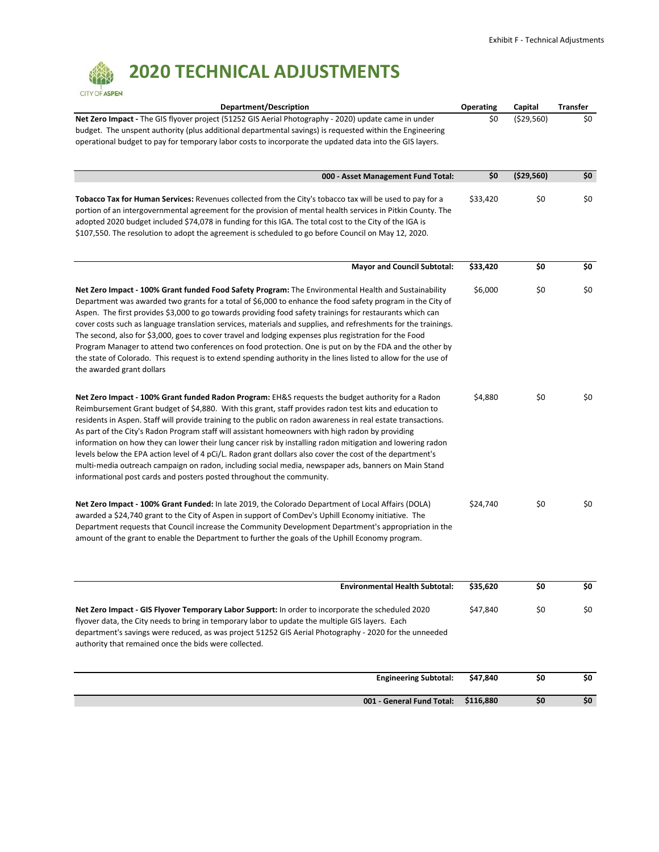## **2020 TECHNICAL ADJUSTMENTS**

| <b>CITY OF ASPEN</b>                                                                                                                                                                                                                                                                                                                                                                                                                                                                                                                                                                                                                                                                                                                                                                                                                          |           |            |                 |
|-----------------------------------------------------------------------------------------------------------------------------------------------------------------------------------------------------------------------------------------------------------------------------------------------------------------------------------------------------------------------------------------------------------------------------------------------------------------------------------------------------------------------------------------------------------------------------------------------------------------------------------------------------------------------------------------------------------------------------------------------------------------------------------------------------------------------------------------------|-----------|------------|-----------------|
| Department/Description                                                                                                                                                                                                                                                                                                                                                                                                                                                                                                                                                                                                                                                                                                                                                                                                                        | Operating | Capital    | <b>Transfer</b> |
| Net Zero Impact - The GIS flyover project (51252 GIS Aerial Photography - 2020) update came in under<br>budget. The unspent authority (plus additional departmental savings) is requested within the Engineering<br>operational budget to pay for temporary labor costs to incorporate the updated data into the GIS layers.                                                                                                                                                                                                                                                                                                                                                                                                                                                                                                                  | \$0       | (529,560)  | \$0             |
| 000 - Asset Management Fund Total:                                                                                                                                                                                                                                                                                                                                                                                                                                                                                                                                                                                                                                                                                                                                                                                                            | \$0       | (\$29,560) | \$0             |
| Tobacco Tax for Human Services: Revenues collected from the City's tobacco tax will be used to pay for a<br>portion of an intergovernmental agreement for the provision of mental health services in Pitkin County. The<br>adopted 2020 budget included \$74,078 in funding for this IGA. The total cost to the City of the IGA is<br>\$107,550. The resolution to adopt the agreement is scheduled to go before Council on May 12, 2020.                                                                                                                                                                                                                                                                                                                                                                                                     | \$33,420  | \$0        | \$0             |
| <b>Mayor and Council Subtotal:</b>                                                                                                                                                                                                                                                                                                                                                                                                                                                                                                                                                                                                                                                                                                                                                                                                            | \$33,420  | \$0        | \$0             |
| Net Zero Impact - 100% Grant funded Food Safety Program: The Environmental Health and Sustainability<br>Department was awarded two grants for a total of \$6,000 to enhance the food safety program in the City of<br>Aspen. The first provides \$3,000 to go towards providing food safety trainings for restaurants which can<br>cover costs such as language translation services, materials and supplies, and refreshments for the trainings.<br>The second, also for \$3,000, goes to cover travel and lodging expenses plus registration for the Food<br>Program Manager to attend two conferences on food protection. One is put on by the FDA and the other by<br>the state of Colorado. This request is to extend spending authority in the lines listed to allow for the use of<br>the awarded grant dollars                        | \$6,000   | \$0        | \$0             |
| Net Zero Impact - 100% Grant funded Radon Program: EH&S requests the budget authority for a Radon<br>Reimbursement Grant budget of \$4,880. With this grant, staff provides radon test kits and education to<br>residents in Aspen. Staff will provide training to the public on radon awareness in real estate transactions.<br>As part of the City's Radon Program staff will assistant homeowners with high radon by providing<br>information on how they can lower their lung cancer risk by installing radon mitigation and lowering radon<br>levels below the EPA action level of 4 pCi/L. Radon grant dollars also cover the cost of the department's<br>multi-media outreach campaign on radon, including social media, newspaper ads, banners on Main Stand<br>informational post cards and posters posted throughout the community. | \$4,880   | \$0        | \$0             |
| Net Zero Impact - 100% Grant Funded: In late 2019, the Colorado Department of Local Affairs (DOLA)<br>awarded a \$24,740 grant to the City of Aspen in support of ComDev's Uphill Economy initiative. The<br>Department requests that Council increase the Community Development Department's appropriation in the<br>amount of the grant to enable the Department to further the goals of the Uphill Economy program.                                                                                                                                                                                                                                                                                                                                                                                                                        | \$24,740  | \$0        | \$0             |
| <b>Environmental Health Subtotal:</b>                                                                                                                                                                                                                                                                                                                                                                                                                                                                                                                                                                                                                                                                                                                                                                                                         | \$35,620  | \$0        | \$0             |
| Net Zero Impact - GIS Flyover Temporary Labor Support: In order to incorporate the scheduled 2020<br>flyover data, the City needs to bring in temporary labor to update the multiple GIS layers. Each<br>department's savings were reduced, as was project 51252 GIS Aerial Photography - 2020 for the unneeded<br>authority that remained once the bids were collected.                                                                                                                                                                                                                                                                                                                                                                                                                                                                      | \$47,840  | \$0        | \$0             |
| <b>Engineering Subtotal:</b>                                                                                                                                                                                                                                                                                                                                                                                                                                                                                                                                                                                                                                                                                                                                                                                                                  | \$47,840  | \$0        | \$0             |
| 001 - General Fund Total:                                                                                                                                                                                                                                                                                                                                                                                                                                                                                                                                                                                                                                                                                                                                                                                                                     | \$116,880 | \$0        | \$0             |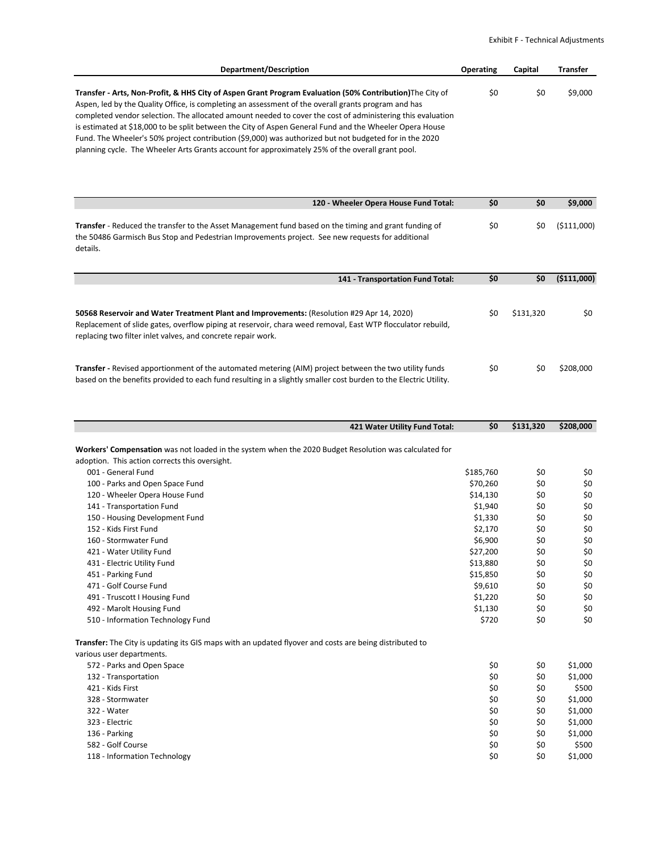| Department/Description                                                                                     | <b>Operating</b> | Capital | <b>Transfer</b> |
|------------------------------------------------------------------------------------------------------------|------------------|---------|-----------------|
|                                                                                                            |                  |         |                 |
| Transfer - Arts, Non-Profit, & HHS City of Aspen Grant Program Evaluation (50% Contribution) The City of   | \$0              | S0      | \$9,000         |
| Aspen, led by the Quality Office, is completing an assessment of the overall grants program and has        |                  |         |                 |
| completed vendor selection. The allocated amount needed to cover the cost of administering this evaluation |                  |         |                 |

is estimated at \$18,000 to be split between the City of Aspen General Fund and the Wheeler Opera House Fund. The Wheeler's 50% project contribution (\$9,000) was authorized but not budgeted for in the 2020 planning cycle. The Wheeler Arts Grants account for approximately 25% of the overall grant pool.

| 120 - Wheeler Opera House Fund Total:                                                                                                                                                                                                                                                          | \$0                                                                                                         | \$0                                                                | \$9,000                                                      |
|------------------------------------------------------------------------------------------------------------------------------------------------------------------------------------------------------------------------------------------------------------------------------------------------|-------------------------------------------------------------------------------------------------------------|--------------------------------------------------------------------|--------------------------------------------------------------|
| Transfer - Reduced the transfer to the Asset Management fund based on the timing and grant funding of<br>the 50486 Garmisch Bus Stop and Pedestrian Improvements project. See new requests for additional<br>details.                                                                          | \$0                                                                                                         | \$0                                                                | (\$111,000)                                                  |
| 141 - Transportation Fund Total:                                                                                                                                                                                                                                                               | \$0                                                                                                         | \$0                                                                | (\$111,000)                                                  |
| 50568 Reservoir and Water Treatment Plant and Improvements: (Resolution #29 Apr 14, 2020)<br>Replacement of slide gates, overflow piping at reservoir, chara weed removal, East WTP flocculator rebuild,<br>replacing two filter inlet valves, and concrete repair work.                       | \$0                                                                                                         | \$131,320                                                          | \$0                                                          |
| <b>Transfer</b> - Revised apportionment of the automated metering (AIM) project between the two utility funds<br>based on the benefits provided to each fund resulting in a slightly smaller cost burden to the Electric Utility.                                                              | \$0                                                                                                         | \$0                                                                | \$208,000                                                    |
| 421 Water Utility Fund Total:                                                                                                                                                                                                                                                                  | \$0                                                                                                         | \$131,320                                                          | \$208,000                                                    |
| Workers' Compensation was not loaded in the system when the 2020 Budget Resolution was calculated for<br>adoption. This action corrects this oversight.<br>001 - General Fund<br>100 - Parks and Open Space Fund<br>120 - Wheeler Opera House Fund<br>141 - Transportation Fund                | \$185,760<br>\$70,260<br>\$14,130<br>\$1,940                                                                | \$0<br>\$0<br>\$0<br>\$0                                           | \$0<br>\$0<br>\$0<br>\$0<br>\$0                              |
| 150 - Housing Development Fund<br>152 - Kids First Fund<br>160 - Stormwater Fund<br>421 - Water Utility Fund<br>431 - Electric Utility Fund<br>451 - Parking Fund<br>471 - Golf Course Fund<br>491 - Truscott I Housing Fund<br>492 - Marolt Housing Fund<br>510 - Information Technology Fund | \$1,330<br>\$2,170<br>\$6,900<br>\$27,200<br>\$13,880<br>\$15,850<br>\$9,610<br>\$1,220<br>\$1,130<br>\$720 | \$0<br>\$0<br>\$0<br>\$0<br>\$0<br>\$0<br>\$0<br>\$0<br>\$0<br>\$0 | \$0<br>\$0<br>\$0<br>\$0<br>\$0<br>\$0<br>\$0<br>\$0<br>\$0  |
| <b>Transfer:</b> The City is updating its GIS maps with an updated flyover and costs are being distributed to<br>various user departments.<br>572 - Parks and Open Space<br>132 - Transportation<br>421 - Kids First                                                                           | \$0<br>Ş0<br>\$0                                                                                            | \$0<br>Ş0<br>\$0                                                   | \$1,000<br>\$1,000<br>\$500                                  |
| 328 - Stormwater<br>322 - Water<br>323 - Electric<br>136 - Parking<br>582 - Golf Course<br>118 - Information Technology                                                                                                                                                                        | \$0<br>\$0<br>\$0<br>\$0<br>\$0<br>\$0                                                                      | \$0<br>\$0<br>\$0<br>\$0<br>\$0<br>\$0                             | \$1,000<br>\$1,000<br>\$1,000<br>\$1,000<br>\$500<br>\$1,000 |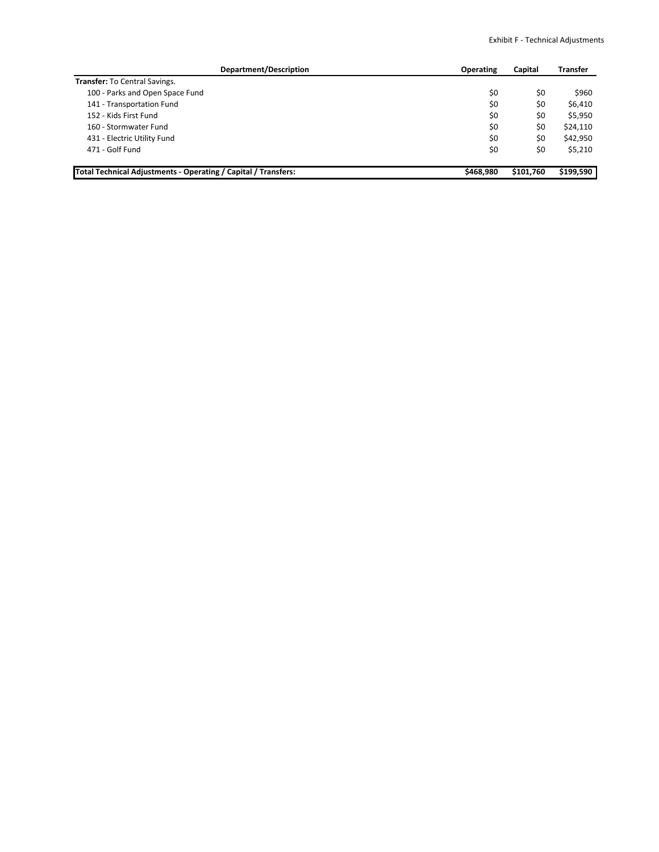| Department/Description                                         | <b>Operating</b> | Capital   | Transfer  |
|----------------------------------------------------------------|------------------|-----------|-----------|
| Transfer: To Central Savings.                                  |                  |           |           |
| 100 - Parks and Open Space Fund                                | \$0              | \$0       | \$960     |
| 141 - Transportation Fund                                      | \$0              | \$0       | \$6,410   |
| 152 - Kids First Fund                                          | \$0              | \$0       | \$5,950   |
| 160 - Stormwater Fund                                          | \$0              | \$0       | \$24,110  |
| 431 - Electric Utility Fund                                    | \$0              | \$0       | \$42,950  |
| 471 - Golf Fund                                                | \$0              | \$0       | \$5,210   |
| Total Technical Adjustments - Operating / Capital / Transfers: | \$468.980        | \$101,760 | \$199,590 |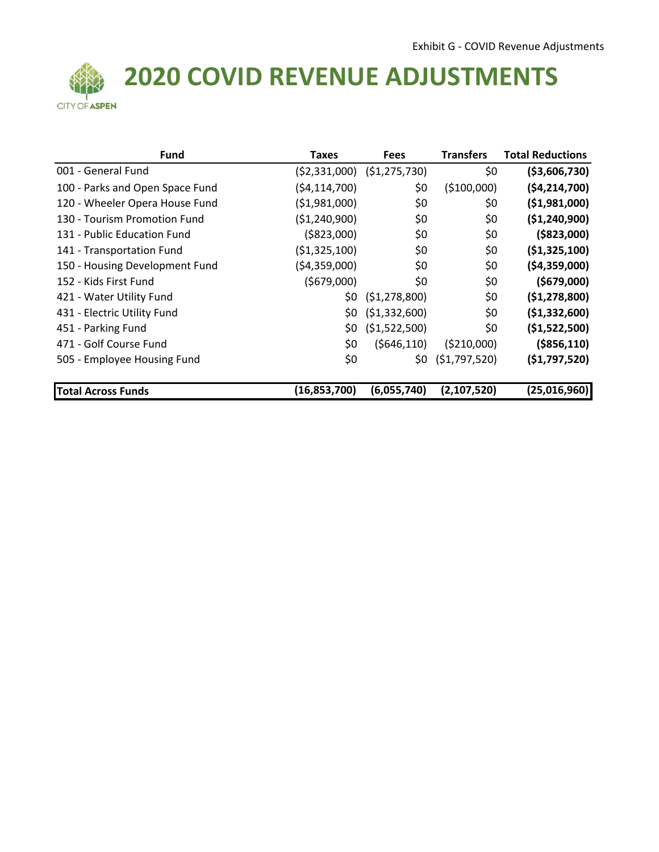

# **COVID REVENUE ADJUSTMENTS**

| <b>Fund</b>                     | <b>Taxes</b>   | <b>Fees</b>    | <b>Transfers</b> | <b>Total Reductions</b> |
|---------------------------------|----------------|----------------|------------------|-------------------------|
| 001 - General Fund              | (52, 331, 000) | (51, 275, 730) | \$0              | ( \$3,606,730)          |
| 100 - Parks and Open Space Fund | (54, 114, 700) | \$0            | (\$100,000)      | ( \$4, 214, 700 ]       |
| 120 - Wheeler Opera House Fund  | ( \$1,981,000) | \$0            | \$0              | ( \$1,981,000)          |
| 130 - Tourism Promotion Fund    | ( \$1,240,900) | \$0            | \$0              | ( \$1, 240, 900)        |
| 131 - Public Education Fund     | ( \$823,000)   | \$0            | \$0              | ( \$823,000)            |
| 141 - Transportation Fund       | ( \$1,325,100) | \$0            | \$0              | ( \$1,325,100)          |
| 150 - Housing Development Fund  | (54,359,000)   | \$0            | \$0              | (54, 359, 000)          |
| 152 - Kids First Fund           | (5679,000)     | \$0            | \$0              | ( \$679,000)            |
| 421 - Water Utility Fund        | \$0            | (51, 278, 800) | \$0              | (51, 278, 800)          |
| 431 - Electric Utility Fund     | \$0            | (\$1,332,600)  | \$0              | ( \$1,332,600)          |
| 451 - Parking Fund              | \$0            | ( \$1,522,500) | \$0              | (\$1,522,500)           |
| 471 - Golf Course Fund          | \$0            | (5646, 110)    | ( \$210,000)     | ( \$856, 110)           |
| 505 - Employee Housing Fund     | \$0            | \$0            | (51,797,520)     | (51,797,520)            |
| <b>Total Across Funds</b>       | (16, 853, 700) | (6,055,740)    | (2, 107, 520)    | (25,016,960)            |